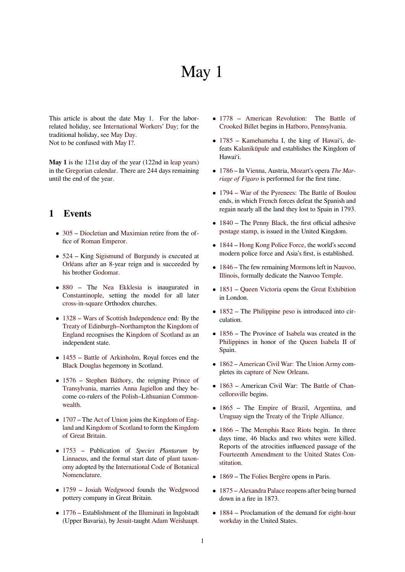# May 1

This article is about the date May 1. For the laborrelated holiday, see International Workers' Day; for the traditional holiday, see May Day. Not to be confused with May I?.

**May 1** is the 121st [day of the year \(122nd in](https://en.wikipedia.org/wiki/International_Workers%2527_Day) leap years) in the Gregorian calen[dar. There](https://en.wikipedia.org/wiki/May_Day) are 244 days remaining until the end of the year.

# **1 Events**

- *•* 305 Diocletian and Maximian retire from the office of Roman Emperor.
- *•* 524 King Sigismund of Burgundy is executed at [Orlé](https://en.wikipedia.org/wiki/305)ans [after an](https://en.wikipedia.org/wiki/Diocletian) 8-y[ear reign an](https://en.wikipedia.org/wiki/Maximian)d is succeeded by his brother [Godomar.](https://en.wikipedia.org/wiki/Roman_Emperors)
- *•* [880](https://en.wikipedia.org/wiki/524) The [Nea Ekklesia](https://en.wikipedia.org/wiki/Sigismund_of_Burgundy) is inaugurated in [Constan](https://en.wikipedia.org/wiki/Orl%C3%A9ans)tinople, setting the model for all later cross-in-square [Ortho](https://en.wikipedia.org/wiki/Godomar)dox churches.
- *•* [1328](https://en.wikipedia.org/wiki/880) Warso[f Scottish Indep](https://en.wikipedia.org/wiki/Nea_Ekklesia)endence end: By the [Treaty of Edinb](https://en.wikipedia.org/wiki/Constantinople)urgh–Northampton the Kingdom of [England](https://en.wikipedia.org/wiki/Cross-in-square) recognises the Kingdom of Scotland as an independent state.
- *•* [1455](https://en.wikipedia.org/wiki/1328) [Battle of Arkinholm, Roya](https://en.wikipedia.org/wiki/Treaty_of_Edinburgh%E2%80%93Northampton)[l fo](https://en.wikipedia.org/wiki/Wars_of_Scottish_Independence)[rces end the](https://en.wikipedia.org/wiki/Kingdom_of_England) [Black D](https://en.wikipedia.org/wiki/Kingdom_of_England)ouglas hegemo[ny in Scotland.](https://en.wikipedia.org/wiki/Kingdom_of_Scotland)
- 1576 Stephen Báthory, the reigning Prince of [Trans](https://en.wikipedia.org/wiki/1455)yl[vania, marries](https://en.wikipedia.org/wiki/Battle_of_Arkinholm) Anna Jagiellon and they be[come co-rulers](https://en.wikipedia.org/wiki/Black_Douglas) of the Polish–Lithuanian Commonwealth.
- *•* [1707](https://en.wikipedia.org/wiki/1576)  [The](https://en.wikipedia.org/wiki/Prince_of_Transylvania) [Act of Union](https://en.wikipedia.org/wiki/Stephen_B%C3%A1thory) [joins the](https://en.wikipedia.org/wiki/Anna_Jagiellon) Kingdo[m of Eng](https://en.wikipedia.org/wiki/Prince_of_Transylvania)land and Kingdom of Scotland [to form the](https://en.wikipedia.org/wiki/Polish%E2%80%93Lithuanian_Commonwealth) Kingdom [of Gre](https://en.wikipedia.org/wiki/Polish%E2%80%93Lithuanian_Commonwealth)at Britain.
- *•* [1753](https://en.wikipedia.org/wiki/1707) –P[ublication o](https://en.wikipedia.org/wiki/Act_of_Union_1707)f *Specie[s Plantarum](https://en.wikipedia.org/wiki/Kingdom_of_England)* by [Linn](https://en.wikipedia.org/wiki/Kingdom_of_England)aeu[s, and the formal start](https://en.wikipedia.org/wiki/Kingdom_of_Scotland) date of pl[ant taxon](https://en.wikipedia.org/wiki/Kingdom_of_Great_Britain)omy [adopted by](https://en.wikipedia.org/wiki/Kingdom_of_Great_Britain) the International Code of Botanical Nomenclature.
- *•* [1759](https://en.wikipedia.org/wiki/Carolus_Linnaeus) Josiah Wedgwood founds the [Wedgwood](https://en.wikipedia.org/wiki/Plant_taxonomy) [potte](https://en.wikipedia.org/wiki/Plant_taxonomy)ry company in [Great Britain.](https://en.wikipedia.org/wiki/International_Code_of_Botanical_Nomenclature)
- *•* 1776  [Establi](https://en.wikipedia.org/wiki/International_Code_of_Botanical_Nomenclature)shment of the Illuminati in Ingolstadt [\(Upp](https://en.wikipedia.org/wiki/1759)er [Bavaria\), by](https://en.wikipedia.org/wiki/Josiah_Wedgwood) Jesuit-taught Adam [Weishaupt.](https://en.wikipedia.org/wiki/Wedgwood)
- *•* 1778 American Revolution: The Battle of Crooked Billet begins in Hatboro, Pennsylvania.
- *•* 1785 Kamehameha I, the king of Hawaiʻi, de[feats](https://en.wikipedia.org/wiki/1778) Kalanikūpule [and establish](https://en.wikipedia.org/wiki/American_Revolution)es the K[ingdom of](https://en.wikipedia.org/wiki/Battle_of_Crooked_Billet) [Hawaiʻi.](https://en.wikipedia.org/wiki/Battle_of_Crooked_Billet)
- *•* [1786](https://en.wikipedia.org/wiki/1785) In [Vienna, Austri](https://en.wikipedia.org/wiki/Kamehameha_I)a, Mozart's opera *[The M](https://en.wikipedia.org/wiki/Hawaii_(island))arriage [of Figaro](https://en.wikipedia.org/wiki/Kalanik%C5%ABpule)* is performed for the first time.
- *•* 1794 War of the Pyrenees: The Battle of Boulou [ends,](https://en.wikipedia.org/wiki/1786) in which French forc[es defea](https://en.wikipedia.org/wiki/Wolfgang_Amadeus_Mozart)t the Sp[anish and](https://en.wikipedia.org/wiki/The_Marriage_of_Figaro) [regain nearly a](https://en.wikipedia.org/wiki/The_Marriage_of_Figaro)[ll t](https://en.wikipedia.org/wiki/Vienna)he land they lost to Spain in 1793.
- *•* [1840](https://en.wikipedia.org/wiki/1794) The [Penny Black, th](https://en.wikipedia.org/wiki/War_of_the_Pyrenees)e first [official adhesive](https://en.wikipedia.org/wiki/Battle_of_Boulou) postage stamp, [is issue](https://en.wikipedia.org/wiki/French_First_Republic)d in the United Kingdom.
- 1844 Hong Kong Police Force, the world's second [mode](https://en.wikipedia.org/wiki/1840)rn poli[ce force and A](https://en.wikipedia.org/wiki/Penny_Black)sia's first, is established.
- 1846  [The few](https://en.wikipedia.org/wiki/Postage_stamp) remaining Mormons left in Nauvoo, [Illino](https://en.wikipedia.org/wiki/1844)is, [formally dedicate the Na](https://en.wikipedia.org/wiki/Hong_Kong_Police_Force)uvoo Temple.
- *•* 1851 Queen Victoria opens the Great Exhibition [in Lo](https://en.wikipedia.org/wiki/1846)ndon.
- [1852](https://en.wikipedia.org/wiki/Nauvoo,_Illinois) The Philippine peso is introd[uced into](https://en.wikipedia.org/wiki/Temple_(Latter_Day_Saints)) cir[culati](https://en.wikipedia.org/wiki/1851)o[n.](https://en.wikipedia.org/wiki/Queen_Victoria)
- *•* 1856 The Province of Isabela was created in the [Philip](https://en.wikipedia.org/wiki/1852)pines [in honor of the](https://en.wikipedia.org/wiki/Philippine_peso) Queen Isabela II of Spain.
- *•* [1862](https://en.wikipedia.org/wiki/1856) American Civil [War: The](https://en.wikipedia.org/wiki/Isabela_(province)) Union Army com[pletes its](https://en.wikipedia.org/wiki/Philippines) capture of New Orle[ans.](https://en.wikipedia.org/wiki/Queen_Isabela_II)
- 1863 American Civil War: The Battle of Chan[cellor](https://en.wikipedia.org/wiki/1862)sville [begins.](https://en.wikipedia.org/wiki/American_Civil_War)
- *•* 1865 The [Empire of Brazil](https://en.wikipedia.org/wiki/Capture_of_New_Orleans), Argentina, and [Urug](https://en.wikipedia.org/wiki/1863)uay sign the Treaty of the Tri[ple Alliance.](https://en.wikipedia.org/wiki/Battle_of_Chancellorsville)
- *•* [1866](https://en.wikipedia.org/wiki/Battle_of_Chancellorsville) The Memphis Race Riots begin. In three [days](https://en.wikipedia.org/wiki/1865) time, 46 [blacks and two w](https://en.wikipedia.org/wiki/Empire_of_Brazil)h[ites were k](https://en.wikipedia.org/wiki/Argentina)illed. [Reports](https://en.wikipedia.org/wiki/Uruguay) of the at[rocities influenced passage o](https://en.wikipedia.org/wiki/Treaty_of_the_Triple_Alliance)f the Fourteenth Amendment to the United States Con[stitut](https://en.wikipedia.org/wiki/1866)ion.
- *•* 1869 The Folies Bergère opens in Paris.
- *•* 1875 Alexandra Palace [reopens after being burned](https://en.wikipedia.org/wiki/Fourteenth_Amendment_to_the_United_States_Constitution) [down in](https://en.wikipedia.org/wiki/Fourteenth_Amendment_to_the_United_States_Constitution) a fire in 1873.
- [1884](https://en.wikipedia.org/wiki/1869) Pro[clamation of th](https://en.wikipedia.org/wiki/Folies_Berg%C3%A8re)e demand for eight-hour [work](https://en.wikipedia.org/wiki/1875)day [in the United St](https://en.wikipedia.org/wiki/Alexandra_Palace)ates.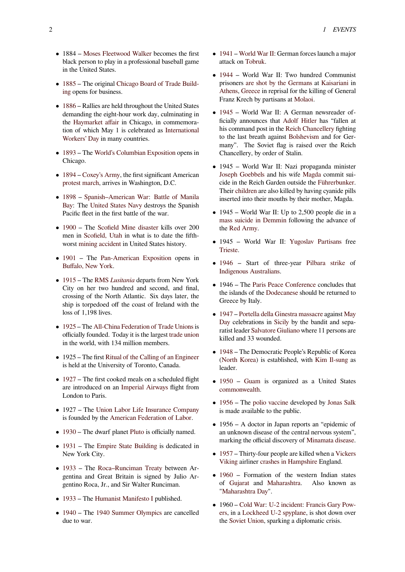- *•* 1884 Moses Fleetwood Walker becomes the first black person to play in a professional baseball game in the United States.
- *•* 1885 The original [Chicago Boar](https://en.wikipedia.org/wiki/Moses_Fleetwood_Walker)d of Trade Building opens for business.
- *•* 1886 Rallies are held throughout the United States [dema](https://en.wikipedia.org/wiki/1885)nding the eigh[t-hour work day, culminating in](https://en.wikipedia.org/wiki/Chicago_Board_of_Trade_Building) [the](https://en.wikipedia.org/wiki/Chicago_Board_of_Trade_Building) Haymarket affair in Chicago, in commemoration of which May 1 is celebrated as International [Work](https://en.wikipedia.org/wiki/1886)ers' Day in many countries.
- *•* 1893 The [World's C](https://en.wikipedia.org/wiki/Haymarket_affair)olumbian Exposition opens in Chicago.
- *•* 1894 [Coxey'](https://en.wikipedia.org/wiki/International_Workers%2527_Day)s Army, the first significant American [prote](https://en.wikipedia.org/wiki/1893)st mar[ch, arrives in Washington, D.C.](https://en.wikipedia.org/wiki/World%2527s_Columbian_Exposition)
- *•* 1898 Spanish–American War: Battle of Manila [Bay:](https://en.wikipedia.org/wiki/1894) The [United Stat](https://en.wikipedia.org/wiki/Coxey%2527s_Army)es Navy destroys the Spanish [Pacific fleet in](https://en.wikipedia.org/wiki/Demonstration_(people)) the first battle of the war.
- [1900](https://en.wikipedia.org/wiki/1898) The [Scofield Mine disa](https://en.wikipedia.org/wiki/Spanish%E2%80%93American_War)ster [kills over 200](https://en.wikipedia.org/wiki/Battle_of_Manila_Bay) [men](https://en.wikipedia.org/wiki/Battle_of_Manila_Bay) in S[cofield, Utah](https://en.wikipedia.org/wiki/United_States_Navy) in what is to date the fifthworst mining accident in United States history.
- *•* [1901](https://en.wikipedia.org/wiki/1900) The [Pan-American Expos](https://en.wikipedia.org/wiki/Scofield_Mine_disaster)ition opens in Buffalo, [New York.](https://en.wikipedia.org/wiki/Scofield,_Utah)
- *•* 1915  [The](https://en.wikipedia.org/wiki/Mining_accident) RMS *Lusitania* departs from New York [City](https://en.wikipedia.org/wiki/1901) on hert[wo hundred and second,](https://en.wikipedia.org/wiki/Pan-American_Exposition) and final, [crossing of the No](https://en.wikipedia.org/wiki/Buffalo,_New_York)rth Atlantic. Six days later, the ship is torpedoed off the coast of Ireland with the [loss o](https://en.wikipedia.org/wiki/1915)f 1,19[8 lives.](https://en.wikipedia.org/wiki/RMS_Lusitania)
- 1925 The All-China Federation of Trade Unions is officially founded. Today it is the largest trade union in the world, with 134 million members.
- *•* [1925](https://en.wikipedia.org/wiki/1925) The first [Ritual of the Calling of an Enginee](https://en.wikipedia.org/wiki/All-China_Federation_of_Trade_Unions)r is held at the University of Toronto, Ca[nada.](https://en.wikipedia.org/wiki/Trade_union)
- 1927 The first cooked meals on a scheduled flight are introduced on an [Imperial Airways](https://en.wikipedia.org/wiki/Ritual_of_the_Calling_of_an_Engineer) flight from London to Paris.
- *•* [1927](https://en.wikipedia.org/wiki/1927) The Union Labor Life Insurance Company is founded by the Am[erican Federation o](https://en.wikipedia.org/wiki/Imperial_Airways)f Labor.
- 1930 The dwarf planet Pluto is officially named.
- 1931 The [Empire State Building](https://en.wikipedia.org/wiki/Union_Labor_Life_Insurance_Company) is dedicated in New York City.
- *•* [1933](https://en.wikipedia.org/wiki/1930) The Roca–Runc[iman](https://en.wikipedia.org/wiki/Pluto) Treaty between Ar[gentin](https://en.wikipedia.org/wiki/1931)a and [Great Britain is signe](https://en.wikipedia.org/wiki/Empire_State_Building)d by Julio Argentino Roca, Jr., and Sir Walter Runciman.
- *•* [1933](https://en.wikipedia.org/wiki/1933) The [Humanist Manifesto I](https://en.wikipedia.org/wiki/Roca%E2%80%93Runciman_Treaty) published.
- 1940 The 1940 Summer Olympics are cancelled due to war.
- *•* 1941 World War II: German forces launch a major attack on Tobruk.
- *•* 1944 World War II: Two hundred Communist [prison](https://en.wikipedia.org/wiki/1941)ers [are shot by](https://en.wikipedia.org/wiki/World_War_II) the Germans at Kaisariani in Athens, Greece in reprisal for the killing of General Franz Kr[ech by p](https://en.wikipedia.org/wiki/Tobruk)artisans at Molaoi.
- *•* [1945](https://en.wikipedia.org/wiki/1944) – [World War II: A German](https://en.wikipedia.org/wiki/Kaisariani_executions) newsreader officially announces that Adolf Hitler [has "fallen](https://en.wikipedia.org/wiki/Kaisariani) at [his com](https://en.wikipedia.org/wiki/Athens)[mand po](https://en.wikipedia.org/wiki/Greece)st in the Re[ich Chan](https://en.wikipedia.org/wiki/Molaoi)cellery fighting to the last breath against Bolshevism and for Ger[many](https://en.wikipedia.org/wiki/1945)". The Soviet flag is raised over the Reich Chancellery, by order o[f Stalin.](https://en.wikipedia.org/wiki/Adolf_Hitler)
- *•* 1945 World War II: [Nazi propaganda m](https://en.wikipedia.org/wiki/Reich_Chancellery)inister Joseph Goebbels and his wife Magda commit suicide in the Reich Garden outside the Führerbunker. Their children are also killed by having cyanide pills inserted into their mouths by their mother, Magda.
- *•* [1945 World W](https://en.wikipedia.org/wiki/Joseph_Goebbels)ar II: Up to 2[,500 p](https://en.wikipedia.org/wiki/Magda_Goebbels)[eople die in a](https://en.wikipedia.org/wiki/F%C3%BChrerbunker) mass [suicide i](https://en.wikipedia.org/wiki/Goebbels_children)n Demmin following the advance of the Red Army.
- 1945 World War II: Yugoslav Partisans free [Trieste.](https://en.wikipedia.org/wiki/Mass_suicide_in_Demmin)
- 1946  [Start](https://en.wikipedia.org/wiki/Red_Army) of three-year Pilbara strike of Indigenous Australians.
- [1946 –](https://en.wikipedia.org/wiki/Trieste) The Paris Peace Conference concludes that the islands of the Dodecanese sh[ould be returne](https://en.wikipedia.org/wiki/1946_Pilbara_strike)d to [Gree](https://en.wikipedia.org/wiki/1946)[ce by Italy.](https://en.wikipedia.org/wiki/Indigenous_Australians)
- *•* 1947 Port[ella della Ginestra massac](https://en.wikipedia.org/wiki/Paris_Peace_Conference,_1946)re against May Day celebrations in Sicily by the bandit and separatist leader Salva[tore Giuliano](https://en.wikipedia.org/wiki/Dodecanese) where 11 persons are killed and 33 wounded.
- *•* [1948](https://en.wikipedia.org/wiki/1947) – [The Democratic People's Repub](https://en.wikipedia.org/wiki/Portella_della_Ginestra_massacre)lic of [Korea](https://en.wikipedia.org/wiki/May_Day) [\(Nor](https://en.wikipedia.org/wiki/May_Day)th Kor[ea\) is est](https://en.wikipedia.org/wiki/Salvatore_Giuliano)[ablis](https://en.wikipedia.org/wiki/Sicily)[hed,](https://en.wikipedia.org/wiki/Salvatore_Giuliano) with Kim Il-sung as leader.
- *•* [1950](https://en.wikipedia.org/wiki/1948) Guam is organized as a United States [commonwealt](https://en.wikipedia.org/wiki/North_Korea)h.
- *•* 1956 The polio vaccine developed by Jonas Salk [is ma](https://en.wikipedia.org/wiki/1950)de [availabl](https://en.wikipedia.org/wiki/Guam)e to the public.
- *•* [1956 A docto](https://en.wikipedia.org/wiki/Commonwealth_(U.S._insular_area))r in Japan reports an "epidemic of [an un](https://en.wikipedia.org/wiki/1956)known [disease of the](https://en.wikipedia.org/wiki/Polio_vaccine) central nervo[us system",](https://en.wikipedia.org/wiki/Jonas_Salk) marking the official discovery of Minamata disease.
- *•* 1957 Thirty-four people are killed when a Vickers Viking airliner crashes in Hampshire England.
- 1960 Formation of the wes[tern Indian states](https://en.wikipedia.org/wiki/Minamata_disease) of Gujarat and Maharashtra. Also known as of Gujarat and Maharashtra. ["Mahar](https://en.wikipedia.org/wiki/Vickers_VC.1_Viking)ashtra [Day".](https://en.wikipedia.org/wiki/1957_Blackbushe_Viking_accident)
- *•* 1960 Cold War: U-2 incident: Francis Gary Pow[ers, in](https://en.wikipedia.org/wiki/1960) a Lockheed U-2 spyplane, is shot down over the [Soviet](https://en.wikipedia.org/wiki/Gujarat) [Union,](https://en.wikipedia.org/wiki/Maharashtra_Day) [sparking a di](https://en.wikipedia.org/wiki/Maharashtra)plomatic crisis.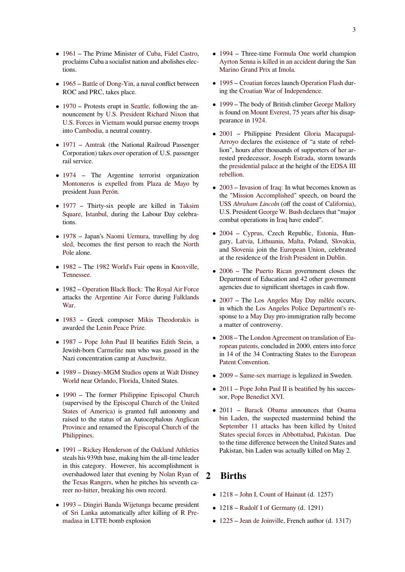- *•* 1961 The Prime Minister of Cuba, Fidel Castro, proclaims Cuba a socialist nation and abolishes elections.
- [1965](https://en.wikipedia.org/wiki/1961) Battle of Dong-Yin, a n[aval co](https://en.wikipedia.org/wiki/Cuba)[nflict between](https://en.wikipedia.org/wiki/Fidel_Castro) ROC and PRC, takes place.
- *•* 1970 Protests erupt in Seattle, following the an[nounc](https://en.wikipedia.org/wiki/1965)ement by [U.S. Presid](https://en.wikipedia.org/wiki/Battle_of_Dong-Yin)ent Richard Nixon that U.S. Forces in Vietnam would pursue enemy troops into Cambodia, a neutral country.
- [1971](https://en.wikipedia.org/wiki/1970) Amtrak [\(the National](https://en.wikipedia.org/wiki/President_of_the_United_States) [Railroad Passe](https://en.wikipedia.org/wiki/Richard_Nixon)nger [Corporation](https://en.wikipedia.org/wiki/U.S._Forces))t[akes over](https://en.wikipedia.org/wiki/Vietnam) operation of U.S. passenger rail [service.](https://en.wikipedia.org/wiki/Cambodia)
- *•* [1974](https://en.wikipedia.org/wiki/1971)  [The](https://en.wikipedia.org/wiki/Amtrak) Argentine terrorist organization Montoneros is expelled from Plaza de Mayo by president Juan Perón.
- *•* [1977](https://en.wikipedia.org/wiki/1974) Thirty-six people are killed in Taksim [Square,](https://en.wikipedia.org/wiki/Montoneros) Istanbu[l, during](https://en.wikipedia.org/wiki/Expulsion_of_Montoneros_from_Plaza_de_Mayo) the L[abour Day celeb](https://en.wikipedia.org/wiki/Plaza_de_Mayo)rations.
- [1978](https://en.wikipedia.org/wiki/1977) Japan's Naomi Uemura, travelling by [dog](https://en.wikipedia.org/wiki/Taksim_Square) [sled, be](https://en.wikipedia.org/wiki/Taksim_Square)[comes th](https://en.wikipedia.org/wiki/Istanbul)e first person to reach the North Pole alone.
- *•* [1982](https://en.wikipedia.org/wiki/1978) The 19[82 World's Fair](https://en.wikipedia.org/wiki/Naomi_Uemura) opens in Knox[ville,](https://en.wikipedia.org/wiki/Dog_sled) [Tenn](https://en.wikipedia.org/wiki/Dog_sled)essee.
- *•* [1982](https://en.wikipedia.org/wiki/North_Pole) Operation Black Buck: The Royal Air Force [attack](https://en.wikipedia.org/wiki/1982)s the [Argentine Air Forc](https://en.wikipedia.org/wiki/1982_World%2527s_Fair)e during [Falklands](https://en.wikipedia.org/wiki/Knoxville,_Tennessee) [War.](https://en.wikipedia.org/wiki/Knoxville,_Tennessee)
- *•* 1983  [Greek composer](https://en.wikipedia.org/wiki/Operation_Black_Buck) Mikis [Theodorakis](https://en.wikipedia.org/wiki/Royal_Air_Force) is awarded the [Lenin Peace Prize.](https://en.wikipedia.org/wiki/Argentine_Air_Force)
- *•* [1987](https://en.wikipedia.org/wiki/Falklands_War) Pope John Paul II beatifies Edith Stein, a [Jewis](https://en.wikipedia.org/wiki/1983)h-born Carmelite nun [who was gassed in](https://en.wikipedia.org/wiki/Mikis_Theodorakis) the Nazi concen[tration camp at](https://en.wikipedia.org/wiki/Lenin_Peace_Prize) Auschwitz.
- *•* [1989](https://en.wikipedia.org/wiki/1987) [Disney-MGM Studi](https://en.wikipedia.org/wiki/Pope_John_Paul_II)os opens at [Walt Disn](https://en.wikipedia.org/wiki/Edith_Stein)ey World near [Orlando, Fl](https://en.wikipedia.org/wiki/Carmelites)orida, United States.
- 1990 The former Philip[pine Episco](https://en.wikipedia.org/wiki/Auschwitz_concentration_camp)pal Church [\(supe](https://en.wikipedia.org/wiki/1989)rvised by the Episcopal Churcho[f the United](https://en.wikipedia.org/wiki/Walt_Disney_World) [States](https://en.wikipedia.org/wiki/Walt_Disney_World) [of A](https://en.wikipedia.org/wiki/Disney%2527s_Hollywood_Studios)[merica\) is gran](https://en.wikipedia.org/wiki/Orlando,_Florida)[te](https://en.wikipedia.org/wiki/Disney%2527s_Hollywood_Studios)d full autonomy and raised to the status of an Autocephalous Anglican [Provi](https://en.wikipedia.org/wiki/1990)nce and renamed the [Episcopal Church of the](https://en.wikipedia.org/wiki/Philippine_Episcopal_Church) Philippines.
- *•* 1991 [Rickey Hen](https://en.wikipedia.org/wiki/Episcopal_Church_of_the_United_States_of_America)derson of the Oakland [Athletics](https://en.wikipedia.org/wiki/Anglican_Province) [steals his](https://en.wikipedia.org/wiki/Anglican_Province) 939th base, maki[ng him the all-time leader](https://en.wikipedia.org/wiki/Episcopal_Church_of_the_Philippines) [in this cate](https://en.wikipedia.org/wiki/Episcopal_Church_of_the_Philippines)gory. However, his accomplishment is overshadowed later that evening by Nolan Ryan of [the](https://en.wikipedia.org/wiki/1991) Tex[as Rangers, when h](https://en.wikipedia.org/wiki/Rickey_Henderson)e pitc[hes his seventh ca](https://en.wikipedia.org/wiki/Oakland_Athletics)reer no-hitter, breaking his own record.
- *•* 1993 Dingiri Banda Wijetunga be[came preside](https://en.wikipedia.org/wiki/Nolan_Ryan)nt of [Sri Lanka](https://en.wikipedia.org/wiki/Texas_Rangers_(baseball)) automatically after killing of R Premad[asa](https://en.wikipedia.org/wiki/No-hitter) in LTTE bomb explosion
- *•* 1994 Three-time Formula One world champion Ayrton Senna is killed in an accident during the San Marino Grand Prix at Imola.
- *•* 1995 Croatian forces launch Operation Flash dur[ing](https://en.wikipedia.org/wiki/1994)[t](https://en.wikipedia.org/wiki/1994)[he](https://en.wikipedia.org/wiki/Ayrton_Senna) Croati[an War](https://en.wikipedia.org/wiki/Death_of_Ayrton_Senna) [of Independ](https://en.wikipedia.org/wiki/Formula_One)[enc](https://en.wikipedia.org/wiki/Death_of_Ayrton_Senna)e.
- *•* 1999  [The body of](https://en.wikipedia.org/wiki/1994_San_Marino_Grand_Prix) B[ritish c](https://en.wikipedia.org/wiki/Imola)limber George Mallory [is fou](https://en.wikipedia.org/wiki/1995)nd on [Mou](https://en.wikipedia.org/wiki/Croatia)nt Everest, 75 [years after his d](https://en.wikipedia.org/wiki/Operation_Flash)isappearance in [1924.](https://en.wikipedia.org/wiki/Croatian_War_of_Independence)
- *•* 2001 Philippine President Gloria Macapagal-[Arroy](https://en.wikipedia.org/wiki/1999)o declares the existence of"[a state of rebel](https://en.wikipedia.org/wiki/George_Mallory)lion", hours [after thousand](https://en.wikipedia.org/wiki/Mount_Everest)s of supporters of her arrested pred[ecesso](https://en.wikipedia.org/wiki/1924)r, Joseph Estrada, storm towards [the](https://en.wikipedia.org/wiki/2001) presidential palace at the height of the [EDSA III](https://en.wikipedia.org/wiki/Gloria_Macapagal-Arroyo) [rebellio](https://en.wikipedia.org/wiki/Gloria_Macapagal-Arroyo)n.
- *•* 2003 Invasion of Iraq: In what becomes known as the ["Mission Accom](https://en.wikipedia.org/wiki/Malaca%C3%B1an_Palace)[plished" speec](https://en.wikipedia.org/wiki/Joseph_Estrada)h, on board the USS *Abraham Lincoln* (off the coast of C[alifornia\),](https://en.wikipedia.org/wiki/EDSA_III) [U.S. Pres](https://en.wikipedia.org/wiki/EDSA_III)ident George W. Bush declares that "major [comb](https://en.wikipedia.org/wiki/2003)at [operations in](https://en.wikipedia.org/wiki/2003_invasion_of_Iraq) Iraq have ended".
- *•* 2004 [Cyprus, Cze](https://en.wikipedia.org/wiki/USS_Abraham_Lincoln_(CVN-72))[ch Re](https://en.wikipedia.org/wiki/Mission_Accomplished_speech)public, Es[tonia, Hun](https://en.wikipedia.org/wiki/California)gary, Latvia, [Lithuania,](https://en.wikipedia.org/wiki/George_W._Bush) Malta, Poland, Slovakia, and Slovenia join the [Eur](https://en.wikipedia.org/wiki/Iraq)opean Union, celebrated at the residence of the Irish President in Dublin.
- [2006](https://en.wikipedia.org/wiki/2004) – [The](https://en.wikipedia.org/wiki/Cyprus) Puerto Rican govern[ment clo](https://en.wikipedia.org/wiki/Estonia)ses the Depar[tment o](https://en.wikipedia.org/wiki/Latvia)[f Educatio](https://en.wikipedia.org/wiki/Lithuania)n [and 4](https://en.wikipedia.org/wiki/Malta)2 other go[vernment](https://en.wikipedia.org/wiki/Slovakia) age[ncies due](https://en.wikipedia.org/wiki/Slovenia) to signifi[c](https://en.wikipedia.org/wiki/President_of_Ireland)[ant shortages in c](https://en.wikipedia.org/wiki/European_Union)[ash flow](https://en.wikipedia.org/wiki/Dublin).
- *•* 2007 The Los Angeles May Day mêlée occurs, [in wh](https://en.wikipedia.org/wiki/2006)ich the [Los Angeles P](https://en.wikipedia.org/wiki/Puerto_Rico)olice Department's response to a May Day pro-immigration rally become a matter of controversy.
- *•* [2008](https://en.wikipedia.org/wiki/2007) The [Lo](https://en.wikipedia.org/wiki/Los_Angeles_May_Day_m%C3%AAl%C3%A9e)[ndon Agreement on translation o](https://en.wikipedia.org/wiki/Los_Angeles_Police_Department)f European pate[nts, concl](https://en.wikipedia.org/wiki/May_Day)uded in 2000, enters into force in 14 of the 34 Contracting States to the European Patent Convention.
- *•* [2009](https://en.wikipedia.org/wiki/2008) [Same-s](https://en.wikipedia.org/wiki/London_Agreement_(2000))ex marriage [is legalized in Sweden.](https://en.wikipedia.org/wiki/London_Agreement_(2000))
- 2011 Pope John Paul II is beatified by [his succes](https://en.wikipedia.org/wiki/European_Patent_Convention)sor, [Pope Benedict](https://en.wikipedia.org/wiki/European_Patent_Convention) XVI.
- *•* [2011](https://en.wikipedia.org/wiki/2009) [Barack Obama](https://en.wikipedia.org/wiki/Same-sex_marriage) announces that Osama bin La[den, the suspected](https://en.wikipedia.org/wiki/Pope_John_Paul_II) [mastermin](https://en.wikipedia.org/wiki/Beatification)d behind the [Sept](https://en.wikipedia.org/wiki/2011)[ember 11 attacks](https://en.wikipedia.org/wiki/Pope_Benedict_XVI) has been killed by United States special forces in Abbottabad, Pakistan. Due to the tim[e difference betw](https://en.wikipedia.org/wiki/Barack_Obama)een the United St[ates and](https://en.wikipedia.org/wiki/Osama_bin_Laden) [Pakistan, b](https://en.wikipedia.org/wiki/Osama_bin_Laden)in Laden was actually killed on May 2.

# **2 [Births](https://en.wikipedia.org/wiki/United_States_Navy_SEALs)**

- *•* 1218 John I, Count of Hainaut (d. 1257)
- *•* 1218 Rudolf I of Germany (d. 1291)
- *•* 1225 Jean de Joinville, French author (d. 1317)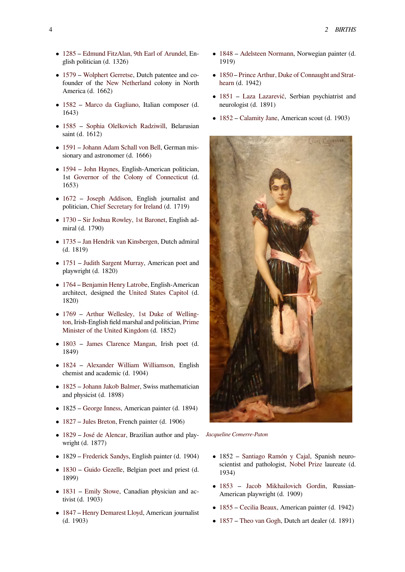- *•* 1285 Edmund FitzAlan, 9th Earl of Arundel, English politician (d. 1326)
- *•* 1579 Wolphert Gerretse, Dutch patentee and co[found](https://en.wikipedia.org/wiki/1285)er of the [New Netherland](https://en.wikipedia.org/wiki/Edmund_FitzAlan,_9th_Earl_of_Arundel) colony in North America (d. 1662)
- *•* 1582 [Marco da Gaglian](https://en.wikipedia.org/wiki/Wolphert_Gerretse)o, Italian composer (d. [1643\)](https://en.wikipedia.org/wiki/1579)
- *•* 1585 Sophia Olelkovich Radziwill, Belarusian [saint](https://en.wikipedia.org/wiki/1582) (d. [1612\)](https://en.wikipedia.org/wiki/Marco_da_Gagliano)
- *•* 1591 Johann Adam Schall von Bell, German mis[sionar](https://en.wikipedia.org/wiki/1585)ya[nd astronomer \(d. 1666\)](https://en.wikipedia.org/wiki/Sophia_Olelkovich_Radziwill)
- *•* 1594 John Haynes, English-American politician, 1st Go[vernor of the Colony of C](https://en.wikipedia.org/wiki/Johann_Adam_Schall_von_Bell)onnecticut (d. [1653\)](https://en.wikipedia.org/wiki/1591)
- *•* [1672](https://en.wikipedia.org/wiki/1594) [Joseph Add](https://en.wikipedia.org/wiki/John_Haynes)ison, English journalist and politician, [Chief Secretary for Ireland](https://en.wikipedia.org/wiki/List_of_colonial_governors_of_Connecticut) (d. 1719)
- *•* 1730 Sir Joshua Rowley, 1st Baronet, English ad[miral](https://en.wikipedia.org/wiki/1672) (d. [1790\)](https://en.wikipedia.org/wiki/Joseph_Addison)
- *•* 1735 Ja[n Hendrik van Kinsbergen, D](https://en.wikipedia.org/wiki/Chief_Secretary_for_Ireland)utch admiral [\(d. 18](https://en.wikipedia.org/wiki/1730)1[9\)](https://en.wikipedia.org/wiki/Sir_Joshua_Rowley,_1st_Baronet)
- *•* 1751 Judith Sargent Murray, American poet and [playw](https://en.wikipedia.org/wiki/1735)r[ight \(d. 1820\)](https://en.wikipedia.org/wiki/Jan_Hendrik_van_Kinsbergen)
- *•* 1764 Benjamin Henry Latrobe, English-American archite[ct, designed the](https://en.wikipedia.org/wiki/Judith_Sargent_Murray) United States Capitol (d. [1820\)](https://en.wikipedia.org/wiki/1751)
- [1769](https://en.wikipedia.org/wiki/1764) [Arthur Wellesley, 1st](https://en.wikipedia.org/wiki/Benjamin_Henry_Latrobe) Duke of Wellington, Irish-English field m[arshal and politician,](https://en.wikipedia.org/wiki/United_States_Capitol) Prime Minister of the United Kingdom (d. 1852)
- *•* 1803 [James Clarence Mangan, Irish poet \(d.](https://en.wikipedia.org/wiki/Arthur_Wellesley,_1st_Duke_of_Wellington) [1849\)](https://en.wikipedia.org/wiki/1769)
- *•* 1824 [Alexander William W](https://en.wikipedia.org/wiki/Prime_Minister_of_the_United_Kingdom)illiamson, English [chem](https://en.wikipedia.org/wiki/1803)ist [and academic \(d. 1904\)](https://en.wikipedia.org/wiki/James_Clarence_Mangan)
- 1825 Johann Jakob Balmer, Swiss mathematician [and p](https://en.wikipedia.org/wiki/1824)hys[icist \(d. 1898\)](https://en.wikipedia.org/wiki/Alexander_William_Williamson)
- *•* 1825 George Inness, American painter (d. 1894)
- *•* [1827](https://en.wikipedia.org/wiki/1825) [Jules Breton, French p](https://en.wikipedia.org/wiki/Johann_Jakob_Balmer)ainter (d. 1906)
- *•* 1829 José de Alencar, Brazilian author and playwright [\(d. 1877\)](https://en.wikipedia.org/wiki/George_Inness)
- *•* [1829](https://en.wikipedia.org/wiki/1827) [Frederick Sa](https://en.wikipedia.org/wiki/Jules_Breton)ndys, English painter (d. 1904)
- *•* [1830](https://en.wikipedia.org/wiki/1829) [Guido Gezelle,](https://en.wikipedia.org/wiki/Jos%C3%A9_de_Alencar) Belgian poet and priest (d. 1899)
- 1831 [Emily Stowe, Ca](https://en.wikipedia.org/wiki/Frederick_Sandys)nadian physician and ac[tivist](https://en.wikipedia.org/wiki/1830) (d[. 1903\)](https://en.wikipedia.org/wiki/Guido_Gezelle)
- *•* 1847 Henry Demarest Lloyd, American journalist [\(d. 19](https://en.wikipedia.org/wiki/1831)0[3\)](https://en.wikipedia.org/wiki/Emily_Stowe)
- *•* 1848 Adelsteen Normann, Norwegian painter (d. 1919)
- *•* 1850 Prince Arthur, Duke of Connaught and Strat[hearn](https://en.wikipedia.org/wiki/1848) ([d. 1942\)](https://en.wikipedia.org/wiki/Adelsteen_Normann)
- *•* 1851 Laza Lazarević, Serbian psychiatrist and [neuro](https://en.wikipedia.org/wiki/1850)l[ogist \(d. 1891\)](https://en.wikipedia.org/wiki/Prince_Arthur,_Duke_of_Connaught_and_Strathearn)
- [1852](https://en.wikipedia.org/wiki/Prince_Arthur,_Duke_of_Connaught_and_Strathearn) Calamity Jane, American scout (d. 1903)



*Jacqueline Comerre-Paton*

- *•* 1852 Santiago Ramón y Cajal, Spanish neuro[scientist and patho](https://en.wikipedia.org/wiki/Jacqueline_Comerre-Paton)logist, Nobel Prize laureate (d. 1934)
- *•* 1853 [Jacob Mikhailovich G](https://en.wikipedia.org/wiki/Santiago_Ram%C3%B3n_y_Cajal)ordin, Russian-American playwright (d. [1909\)](https://en.wikipedia.org/wiki/Nobel_Prize_in_Physiology_or_Medicine)
- *•* 1855 Cecilia Beaux, American painter (d. 1942)
- *•* [1857](https://en.wikipedia.org/wiki/1853) T[heo van Gogh, Dutch art dealer](https://en.wikipedia.org/wiki/Jacob_Mikhailovich_Gordin) (d. 1891)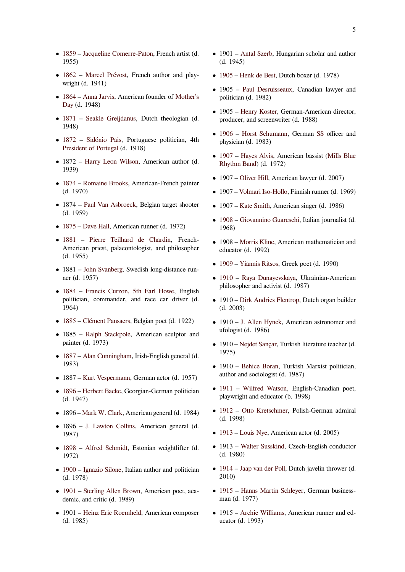- *•* 1859 Jacqueline Comerre-Paton, French artist (d. 1955)
- *•* 1862 Marcel Prévost, French author and play[wrigh](https://en.wikipedia.org/wiki/1859)t [\(d. 1941\)](https://en.wikipedia.org/wiki/Jacqueline_Comerre-Paton)
- *•* 1864 Anna Jarvis, American founder of Mother's [Day](https://en.wikipedia.org/wiki/1862) (d. [1948\)](https://en.wikipedia.org/wiki/Marcel_Pr%C3%A9vost)
- *•* 1871 Seakle Greijdanus, Dutch theologian (d. [1948\)](https://en.wikipedia.org/wiki/1864)
- [1872](https://en.wikipedia.org/wiki/Mother%2527s_Day) Sidónio Pais, Portuguese politician, 4th [Presid](https://en.wikipedia.org/wiki/1871)en[t of Portugal](https://en.wikipedia.org/wiki/Seakle_Greijdanus) (d. 1918)
- *•* 1872 Harry Leon Wilson, American author (d. [1939\)](https://en.wikipedia.org/wiki/1872)
- *•* 1874 [Romaine Bro](https://en.wikipedia.org/wiki/President_of_Portugal)oks, American-French painter (d. 197[0\)](https://en.wikipedia.org/wiki/Harry_Leon_Wilson)
- *•* 1874 Paul Van Asbroeck, Belgian target shooter [\(d. 19](https://en.wikipedia.org/wiki/1874)5[9\)](https://en.wikipedia.org/wiki/Romaine_Brooks)
- *•* 1875 Dave Hall, American runner (d. 1972)
- *•* 1881 [Pierre Teilhard](https://en.wikipedia.org/wiki/Paul_Van_Asbroeck) de Chardin, French-American priest, palaeontologist, and philosopher [\(d. 19](https://en.wikipedia.org/wiki/1875)5[5\)](https://en.wikipedia.org/wiki/David_Hall_(athlete))
- *•* [1881](https://en.wikipedia.org/wiki/1881) J[ohn Svanberg, Swedish long-dis](https://en.wikipedia.org/wiki/Pierre_Teilhard_de_Chardin)tance runner (d. 1957)
- *•* 1884 Francis Curzon, 5th Earl Howe, English politici[an, commande](https://en.wikipedia.org/wiki/John_Svanberg)r, and race car driver (d. 1964)
- *•* [1885](https://en.wikipedia.org/wiki/1884) [Clément Pansaers, Belgian poet \(d](https://en.wikipedia.org/wiki/Francis_Curzon,_5th_Earl_Howe). 1922)
- *•* 1885 Ralph Stackpole, American sculptor and painter (d. 1973)
- *•* [1887](https://en.wikipedia.org/wiki/1885) [Alan Cunningham](https://en.wikipedia.org/wiki/Cl%C3%A9ment_Pansaers), Irish-English general (d. 1983)
- *•* 1887 Kurt Vespermann, German actor (d. 1957)
- *•* [1896](https://en.wikipedia.org/wiki/1887) [Herbert Backe, Ge](https://en.wikipedia.org/wiki/Alan_Cunningham)orgian-German politician (d. 1947)
- *•* 1896 [Mark W. Clark, A](https://en.wikipedia.org/wiki/Kurt_Vespermann)merican general (d. 1984)
- [1896](https://en.wikipedia.org/wiki/1896) [J. Lawton Co](https://en.wikipedia.org/wiki/Herbert_Backe)llins, American general (d. 1987)
- *•* 1898 [Alfred Schmid](https://en.wikipedia.org/wiki/Mark_W._Clark)t, Estonian weightlifter (d. 1972)
- 1900 Ignazio Silone, Italian author and politician [\(d. 19](https://en.wikipedia.org/wiki/1898)7[8\)](https://en.wikipedia.org/wiki/Alfred_Schmidt_(weightlifter))
- *•* 1901 Sterling Allen Brown, American poet, aca[demic](https://en.wikipedia.org/wiki/1900), [and critic \(d. 1](https://en.wikipedia.org/wiki/Ignazio_Silone)989)
- *•* 1901 Heinz Eric Roemheld, American composer [\(d. 19](https://en.wikipedia.org/wiki/1901)8[5\)](https://en.wikipedia.org/wiki/Sterling_Allen_Brown)
- 1901 Antal Szerb, Hungarian scholar and author (d. 1945)
- *•* 1905 Henk de Best, Dutch boxer (d. 1978)
- *•* 1905 [Paul Desru](https://en.wikipedia.org/wiki/Antal_Szerb)isseaux, Canadian lawyer and politician (d. 1982)
- *•* [1905](https://en.wikipedia.org/wiki/1905) [Henry Koster](https://en.wikipedia.org/wiki/Henk_de_Best), German-American director, produce[r, and screenwriter \(](https://en.wikipedia.org/wiki/Paul_Desruisseaux)d. 1988)
- *•* 1906 Horst Schumann, German SS officer and physici[an \(d. 1983\)](https://en.wikipedia.org/wiki/Henry_Koster)
- *•* 1907 Hayes Alvis, American bassist (Mills Blue [Rhyth](https://en.wikipedia.org/wiki/1906)m [Band\) \(d. 1972\)](https://en.wikipedia.org/wiki/Horst_Schumann)
- *•* 1907 Oliver Hill, American lawyer (d. 2007)
- *•* [1907](https://en.wikipedia.org/wiki/1907) [–](https://en.wikipedia.org/wiki/Mills_Blue_Rhythm_Band) [Volmari Iso-H](https://en.wikipedia.org/wiki/Hayes_Alvis)ollo, Finnish runne[r \(d. 1969\)](https://en.wikipedia.org/wiki/Mills_Blue_Rhythm_Band)
- *•* 1907 [Kate Smith](https://en.wikipedia.org/wiki/Oliver_Hill), American singer (d. 1986)
- *•* 1908 [Giovannino Guare](https://en.wikipedia.org/wiki/Volmari_Iso-Hollo)schi, Italian journalist (d. 1968)
- *•* 1908 [Morris Klin](https://en.wikipedia.org/wiki/Kate_Smith)e, American mathematician and [educa](https://en.wikipedia.org/wiki/1908)to[r \(d. 1992\)](https://en.wikipedia.org/wiki/Giovannino_Guareschi)
- *•* 1909 Yiannis Ritsos, Greek poet (d. 1990)
- *•* 1910 [Raya Dunay](https://en.wikipedia.org/wiki/Morris_Kline)evskaya, Ukrainian-American philosopher and activist (d. 1987)
- [1910](https://en.wikipedia.org/wiki/1909) [Dirk Andries F](https://en.wikipedia.org/wiki/Yiannis_Ritsos)lentrop, Dutch organ builder [\(d. 20](https://en.wikipedia.org/wiki/1910)0[3\)](https://en.wikipedia.org/wiki/Raya_Dunayevskaya)
- *•* 1910 J. Allen Hynek, American astronomer and ufologi[st \(d. 1986\)](https://en.wikipedia.org/wiki/Dirk_Andries_Flentrop)
- *•* 1910 Nejdet Sançar, Turkish literature teacher (d. 1975)
- *•* 1910 Behice Boran, Turkish Marxist politician, author [and sociologist](https://en.wikipedia.org/wiki/Nejdet_San%C3%A7ar) (d. 1987)
- *•* 1911 Wilfred Watson, English-Canadian poet, playwri[ght and educato](https://en.wikipedia.org/wiki/Behice_Boran)r (b. 1998)
- *•* 1912 Otto Kretschmer, Polish-German admiral [\(d. 19](https://en.wikipedia.org/wiki/1911)98[\)](https://en.wikipedia.org/wiki/Wilfred_Watson)
- *•* 1913 Louis Nye, American actor (d. 2005)
- *•* [1913](https://en.wikipedia.org/wiki/1912) [Walter Susskind,](https://en.wikipedia.org/wiki/Otto_Kretschmer) Czech-English conductor (d. 1980)
- *•* [1914](https://en.wikipedia.org/wiki/1913) [Jaap van d](https://en.wikipedia.org/wiki/Louis_Nye)er Poll, Dutch javelin thrower (d. 2010)
- *•* 1915 Hanns Martin Schleyer, German business[man \(](https://en.wikipedia.org/wiki/1914)d. [1977\)](https://en.wikipedia.org/wiki/Jaap_van_der_Poll)
- *•* 1915 Archie Williams, American runner and ed[ucato](https://en.wikipedia.org/wiki/1915)r([d. 1993\)](https://en.wikipedia.org/wiki/Hanns_Martin_Schleyer)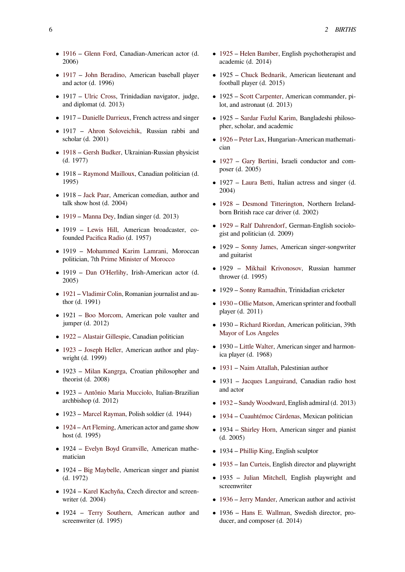- *•* 1916 Glenn Ford, Canadian-American actor (d. 2006)
- *•* 1917 John Beradino, American baseball player [and a](https://en.wikipedia.org/wiki/1916)ct[or \(d. 1996\)](https://en.wikipedia.org/wiki/Glenn_Ford)
- *•* 1917 Ulric Cross, Trinidadian navigator, judge, [and d](https://en.wikipedia.org/wiki/1917)ipl[omat \(d. 2013\)](https://en.wikipedia.org/wiki/John_Beradino)
- 1917 Danielle Darrieux, French actress and singer
- *•* 1917 [Ahron So](https://en.wikipedia.org/wiki/Ulric_Cross)loveichik, Russian rabbi and scholar (d. 2001)
- *•* 1918 [Gersh Budker, Uk](https://en.wikipedia.org/wiki/Danielle_Darrieux)rainian-Russian physicist (d. 1977[\)](https://en.wikipedia.org/wiki/Ahron_Soloveichik)
- *•* 1918 Raymond Mailloux, Canadian politician (d. [1995\)](https://en.wikipedia.org/wiki/1918)
- *•* 1918 Jack Paar, American comedian, author and talk sh[ow host \(d. 2004\)](https://en.wikipedia.org/wiki/Raymond_Mailloux)
- *•* 1919 Manna Dey, Indian singer (d. 2013)
- *•* 1919 [Lewis H](https://en.wikipedia.org/wiki/Jack_Paar)ill, American broadcaster, cofounded Pacifica Radio (d. 1957)
- *•* [1919](https://en.wikipedia.org/wiki/1919) [Mohamme](https://en.wikipedia.org/wiki/Manna_Dey)d Karim Lamrani, Moroccan politician, 7th [Prime](https://en.wikipedia.org/wiki/Lewis_Hill) Minister of Morocco
- *•* 1919 [Dan O'Herlihy](https://en.wikipedia.org/wiki/Pacifica_Radio), Irish-American actor (d. 2005)
- *•* 1921 Vladi[mir Colin, Romanian journalis](https://en.wikipedia.org/wiki/Prime_Minister_of_Morocco)t and author (d. [1991\)](https://en.wikipedia.org/wiki/Dan_O%2527Herlihy)
- 1921 Boo Morcom, American pole vaulter and [jump](https://en.wikipedia.org/wiki/1921)e[r \(d. 2012\)](https://en.wikipedia.org/wiki/Vladimir_Colin)
- *•* 1922 Alastair Gillespie, Canadian politician
- 1923 [Joseph Heller](https://en.wikipedia.org/wiki/Boo_Morcom), American author and playwright (d. 1999)
- [1923](https://en.wikipedia.org/wiki/1922) [Milan Kangrga,](https://en.wikipedia.org/wiki/Alastair_Gillespie) Croatian philosopher and [theor](https://en.wikipedia.org/wiki/1923)ist [\(d. 2008\)](https://en.wikipedia.org/wiki/Joseph_Heller)
- *•* 1923 Antônio Maria Mucciolo, Italian-Brazilian archbish[op \(d. 2012\)](https://en.wikipedia.org/wiki/Milan_Kangrga)
- *•* 1923 Marcel Rayman, Polish soldier (d. 1944)
- *•* 1924 [Art Fleming, American act](https://en.wikipedia.org/wiki/Ant%C3%B4nio_Maria_Mucciolo)or and game show host (d. 1995)
- *•* 1924 [Evelyn Boyd G](https://en.wikipedia.org/wiki/Marcel_Rayman)ranville, American mathe[matic](https://en.wikipedia.org/wiki/1924)i[an](https://en.wikipedia.org/wiki/Art_Fleming)
- *•* 1924 Big Maybelle, American singer and pianist (d. 197[2\)](https://en.wikipedia.org/wiki/Evelyn_Boyd_Granville)
- *•* 1924 Karel Kachyňa, Czech director and screenwriter([d. 2004\)](https://en.wikipedia.org/wiki/Big_Maybelle)
- *•* 1924 Terry Southern, American author and screen[writer \(d. 1995\)](https://en.wikipedia.org/wiki/Karel_Kachy%C5%88a)
- *•* 1925 Helen Bamber, English psychotherapist and academic (d. 2014)
- *•* 1925 Chuck Bednarik, American lieutenant and [footb](https://en.wikipedia.org/wiki/1925)all [player \(d. 201](https://en.wikipedia.org/wiki/Helen_Bamber)5)
- *•* 1925 Scott Carpenter, American commander, pilot, and [astronaut \(d. 201](https://en.wikipedia.org/wiki/Chuck_Bednarik)3)
- *•* 1925 Sardar Fazlul Karim, Bangladeshi philosopher, s[cholar, and acade](https://en.wikipedia.org/wiki/Scott_Carpenter)mic
- *•* 1926 Peter Lax, Hungarian-American mathematician
- *•* 1927 Gary Bertini, Israeli conductor and com[poser](https://en.wikipedia.org/wiki/1926)([d. 2005\)](https://en.wikipedia.org/wiki/Peter_Lax)
- 1927 Laura Betti, Italian actress and singer (d. [2004](https://en.wikipedia.org/wiki/1927))
- 1928 Desmond Titterington, Northern Irelandborn Br[itish race car](https://en.wikipedia.org/wiki/Laura_Betti) driver (d. 2002)
- *•* 1929 Ralf Dahrendorf, German-English sociolo[gist a](https://en.wikipedia.org/wiki/1928)nd [politician \(d. 2009\)](https://en.wikipedia.org/wiki/Desmond_Titterington)
- *•* 1929 Sonny James, American singer-songwriter [and g](https://en.wikipedia.org/wiki/1929)ui[tarist](https://en.wikipedia.org/wiki/Ralf_Dahrendorf)
- *•* 1929 Mikhail Krivonosov, Russian hammer thrower [\(d. 1995\)](https://en.wikipedia.org/wiki/Sonny_James)
- *•* 1929 Sonny Ramadhin, Trinidadian cricketer
- *•* 1930 Ol[lie Matson, American](https://en.wikipedia.org/wiki/Mikhail_Krivonosov) sprinter and football player (d. 2011)
- *•* 1930 [Richard Riordan,](https://en.wikipedia.org/wiki/Sonny_Ramadhin) American politician, 39th [Mayo](https://en.wikipedia.org/wiki/1930)r [of Los Angel](https://en.wikipedia.org/wiki/Ollie_Matson)es
- *•* 1930 Little Walter, American singer and harmonica play[er \(d. 1968\)](https://en.wikipedia.org/wiki/Richard_Riordan)
- *•* 1931 [Naim Attallah,](https://en.wikipedia.org/wiki/Mayor_of_Los_Angeles) Palestinian author
- *•* 1931 [Jacques Lan](https://en.wikipedia.org/wiki/Little_Walter)guirand, Canadian radio host and actor
- *•* [1932](https://en.wikipedia.org/wiki/1931) [Sandy Woodwa](https://en.wikipedia.org/wiki/Naim_Attallah)rd, English admiral (d. 2013)
- *•* 1934 [Cuauhtémoc Cárdena](https://en.wikipedia.org/wiki/Jacques_Languirand)s, Mexican politician
- *•* 1934 Shirley Horn, American singer and pianist [\(d. 20](https://en.wikipedia.org/wiki/1932)[05\)](https://en.wikipedia.org/wiki/Sandy_Woodward)
- *•* [1934](https://en.wikipedia.org/wiki/1934) [Phillip King, English sc](https://en.wikipedia.org/wiki/Cuauht%C3%A9moc_C%C3%A1rdenas)ulptor
- *•* 1935 [Ian Curteis, E](https://en.wikipedia.org/wiki/Shirley_Horn)nglish director and playwright
- *•* 1935 Julian Mitchell, English playwright and screen[writer](https://en.wikipedia.org/wiki/Phillip_King_(artist))
- *•* [1936](https://en.wikipedia.org/wiki/1935) [Jerry Mand](https://en.wikipedia.org/wiki/Ian_Curteis)er, American author and activist
- *•* 1936 [Hans E. Wallma](https://en.wikipedia.org/wiki/Julian_Mitchell)n, Swedish director, producer, and composer (d. 2014)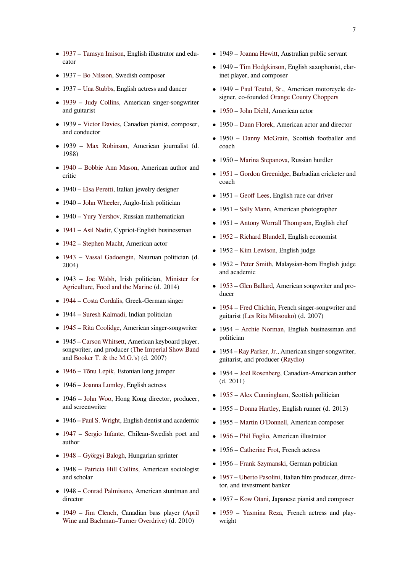- *•* 1937 Tamsyn Imison, English illustrator and educator
- *•* 1937 Bo Nilsson, Swedish composer
- *•* [1937](https://en.wikipedia.org/wiki/1937) [Una Stubbs, En](https://en.wikipedia.org/wiki/Tamsyn_Imison)glish actress and dancer
- *•* 1939 Judy Collins, American singer-songwriter and gui[tarist](https://en.wikipedia.org/wiki/Bo_Nilsson)
- *•* 1939 [Victor Davi](https://en.wikipedia.org/wiki/Una_Stubbs)es, Canadian pianist, composer, [and c](https://en.wikipedia.org/wiki/1939)on[ductor](https://en.wikipedia.org/wiki/Judy_Collins)
- *•* 1939 Max Robinson, American journalist (d. 1988)
- *•* 1940 Bobbie Ann Mason, American author and critic
- 1940 Elsa Peretti, Italian jewelry designer
- [1940](https://en.wikipedia.org/wiki/1940) [John Wheeler, Anglo](https://en.wikipedia.org/wiki/Bobbie_Ann_Mason)-Irish politician
- *•* 1940 [Yury Yersho](https://en.wikipedia.org/wiki/Elsa_Peretti)v, Russian mathematician
- *•* 1941 [Asil Nadir, Cy](https://en.wikipedia.org/wiki/John_Wheeler_(politician))priot-English businessman
- *•* 1942 [Stephen Mach](https://en.wikipedia.org/wiki/Yury_Yershov)t, American actor
- *•* 1943 [Vassal Ga](https://en.wikipedia.org/wiki/Asil_Nadir)doengin, Nauruan politician (d. [2004\)](https://en.wikipedia.org/wiki/1941)
- *•* [1943](https://en.wikipedia.org/wiki/1942) [Joe Walsh, Ir](https://en.wikipedia.org/wiki/Stephen_Macht)ish politician, Minister for [Agric](https://en.wikipedia.org/wiki/1943)ult[ure, Food and the M](https://en.wikipedia.org/wiki/Vassal_Gadoengin)arine (d. 2014)
- *•* 1944 Costa Cordalis, Greek-German singer
- *•* 1944 [Suresh Kalm](https://en.wikipedia.org/wiki/Joe_Walsh_(Irish_politician))[adi, Indian po](https://en.wikipedia.org/wiki/Minister_for_Agriculture,_Food_and_the_Marine)litic[ian](https://en.wikipedia.org/wiki/Minister_for_Agriculture,_Food_and_the_Marine)
- *•* [1945](https://en.wikipedia.org/wiki/1944) [Rita Coolidge,](https://en.wikipedia.org/wiki/Costa_Cordalis) American singer-songwriter
- 1945 Carson Whitsett, American keyboard player, songwr[iter, and produce](https://en.wikipedia.org/wiki/Suresh_Kalmadi)r (The Imperial Show Band [and](https://en.wikipedia.org/wiki/1945) Bo[oker T. & the M](https://en.wikipedia.org/wiki/Rita_Coolidge).G.'s) (d. 2007)
- *•* 1946 [Tõnu Lepik, Est](https://en.wikipedia.org/wiki/Carson_Whitsett)onian long jumper
- *•* 1946 [Joanna Lumley, E](https://en.wikipedia.org/wiki/Booker_T._&_the_M.G.%2527s)[nglish actress](https://en.wikipedia.org/wiki/The_Imperial_Show_Band)
- 1946 John Woo, Hong Kong director, producer, [and s](https://en.wikipedia.org/wiki/1946)cr[eenwriter](https://en.wikipedia.org/wiki/T%C3%B5nu_Lepik)
- 1946 [Paul S. Wright,](https://en.wikipedia.org/wiki/Joanna_Lumley) English dentist and academic
- *•* 1947 [Sergio Inf](https://en.wikipedia.org/wiki/John_Woo)ante, Chilean-Swedish poet and author
- *•* 1948 [Györgyi Balog](https://en.wikipedia.org/wiki/Paul_S._Wright)h, Hungarian sprinter
- [1948](https://en.wikipedia.org/wiki/1947) [Patricia Hill C](https://en.wikipedia.org/wiki/Sergio_Infante)ollins, American sociologist and scholar
- *•* [1948](https://en.wikipedia.org/wiki/1948) [Conrad Palmisa](https://en.wikipedia.org/wiki/Gy%C3%B6rgyi_Balogh)no, American stuntman and director
- *•* 1949 Jim Clench, Canadian bass player (April Wine and [Bachman–Turne](https://en.wikipedia.org/wiki/Conrad_Palmisano)r Overdrive) (d. 2010)
- *•* 1949 Joanna Hewitt, Australian public servant
- *•* 1949 Tim Hodgkinson, English saxophonist, clarinet player, and composer
- *•* 1949 [Paul Teutul, S](https://en.wikipedia.org/wiki/Joanna_Hewitt)r., American motorcycle designer, [co-founded](https://en.wikipedia.org/wiki/Tim_Hodgkinson) Orange County Choppers
- *•* 1950 John Diehl, American actor
- 1950 [Dann Florek, Am](https://en.wikipedia.org/wiki/Paul_Teutul,_Sr.)[erican actor and dire](https://en.wikipedia.org/wiki/Orange_County_Choppers)ctor
- *•* 1950 [Danny M](https://en.wikipedia.org/wiki/John_Diehl)cGrain, Scottish footballer and [coach](https://en.wikipedia.org/wiki/1950)
- *•* 1950 [Marina Stepa](https://en.wikipedia.org/wiki/Dann_Florek)nova, Russian hurdler
- *•* 1951 [Gordon Greenidge](https://en.wikipedia.org/wiki/Danny_McGrain), Barbadian cricketer and coach
- *•* 1951 [Geoff Lees, Englis](https://en.wikipedia.org/wiki/Marina_Stepanova)h race car driver
- *•* [1951](https://en.wikipedia.org/wiki/1951) [Sally Mann, Ameri](https://en.wikipedia.org/wiki/Gordon_Greenidge)can photographer
- *•* 1951 [Antony Wo](https://en.wikipedia.org/wiki/Geoff_Lees)rrall Thompson, English chef
- *•* 1952 [Richard Blu](https://en.wikipedia.org/wiki/Sally_Mann)ndell, English economist
- *•* 1952 [Kim Lewison, English judg](https://en.wikipedia.org/wiki/Antony_Worrall_Thompson)e
- *•* 1952 Peter Smith, Malaysian-born English judge [and a](https://en.wikipedia.org/wiki/1952)c[ademic](https://en.wikipedia.org/wiki/Richard_Blundell)
- *•* 1953 [Glen Ballard,](https://en.wikipedia.org/wiki/Kim_Lewison) American songwriter and producer
- 1954 Fred Chichin, French singer-songwriter and [guitar](https://en.wikipedia.org/wiki/1953)is[t \(Les Rita M](https://en.wikipedia.org/wiki/Glen_Ballard)itsouko) (d. 2007)
- *•* 1954 Archie Norman, English businessman and [politi](https://en.wikipedia.org/wiki/1954)ci[an](https://en.wikipedia.org/wiki/Fred_Chichin)
- *•* 1954 R[ay Parker, Jr., Amer](https://en.wikipedia.org/wiki/Les_Rita_Mitsouko)ican singer-songwriter, guitarist[, and producer \(R](https://en.wikipedia.org/wiki/Archie_Norman)aydio)
- *•* 1954 Joel Rosenberg, Canadian-American author (d. 20[11\)](https://en.wikipedia.org/wiki/Ray_Parker,_Jr.)
- 1955 Alex Cunningh[am, Scot](https://en.wikipedia.org/wiki/Raydio)tish politician
- *•* 1955 [Donna Hartley,](https://en.wikipedia.org/wiki/Joel_Rosenberg_(science_fiction_author)) English runner (d. 2013)
- *•* [1955](https://en.wikipedia.org/wiki/1955) [Martin O](https://en.wikipedia.org/wiki/Alex_Cunningham)'[Donnell,](https://en.wikipedia.org/wiki/Alex_Cunningham) American composer
- *•* 1956 [Phil Foglio, Am](https://en.wikipedia.org/wiki/Donna_Hartley)erican illustrator
- 1956 [Catherine Frot, Fr](https://en.wikipedia.org/wiki/Martin_O%2527Donnell)ench actress
- *•* [1956](https://en.wikipedia.org/wiki/1956) [Frank Szym](https://en.wikipedia.org/wiki/Phil_Foglio)anski, German politician
- *•* 1957 Uberto Pasolini, Italian film producer, director, an[d investment ban](https://en.wikipedia.org/wiki/Catherine_Frot)ker
- *•* 1957 [Kow Otani, Japan](https://en.wikipedia.org/wiki/Frank_Szymanski_(politician))ese pianist and composer
- *•* [1959](https://en.wikipedia.org/wiki/1957) [Yasmina Reza](https://en.wikipedia.org/wiki/Uberto_Pasolini), French actress and playwright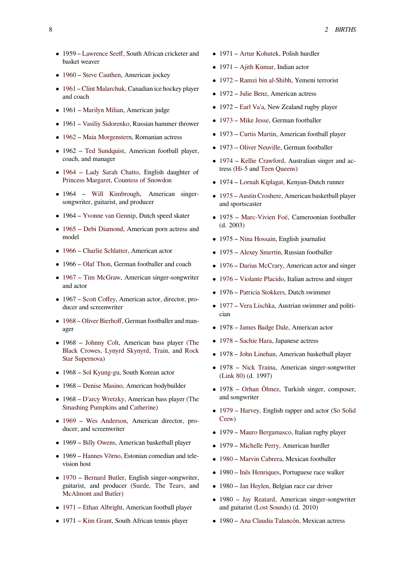- *•* 1959 Lawrence Seeff, South African cricketer and basket weaver
- 1960 Steve Cauthen, American jockey
- *•* 1961 [Clint Malarchuk](https://en.wikipedia.org/wiki/Lawrence_Seeff), Canadian ice hockey player and coach
- [1961](https://en.wikipedia.org/wiki/1960) [Marilyn Milian](https://en.wikipedia.org/wiki/Steve_Cauthen), American judge
- *•* [1961](https://en.wikipedia.org/wiki/1961) [Vasiliy Sidorenk](https://en.wikipedia.org/wiki/Clint_Malarchuk)o, Russian hammer thrower
- *•* 1962 Maia Morgenstern, Romanian actress
- *•* 1962 [Ted Sundquist](https://en.wikipedia.org/wiki/Marilyn_Milian), American football player, coach, [and manager](https://en.wikipedia.org/wiki/Vasiliy_Sidorenko)
- *•* [1964](https://en.wikipedia.org/wiki/1962) [Lady Sarah Chat](https://en.wikipedia.org/wiki/Maia_Morgenstern)to, English daughter of Princess [Margaret, Cou](https://en.wikipedia.org/wiki/Ted_Sundquist)ntess of Snowdon
- *•* 1964 Will Kimbrough, American singer[songw](https://en.wikipedia.org/wiki/1964)rit[er, guitarist, and pro](https://en.wikipedia.org/wiki/Lady_Sarah_Chatto)ducer
- 1964 [Yvonne van Gennip, Dutch speed](https://en.wikipedia.org/wiki/Princess_Margaret,_Countess_of_Snowdon) skater
- *•* 1965 De[bi Diamond, Ame](https://en.wikipedia.org/wiki/Will_Kimbrough)rican porn actress and model
- *•* 1966 [Charlie Schlatter, A](https://en.wikipedia.org/wiki/Yvonne_van_Gennip)merican actor
- *•* [1966](https://en.wikipedia.org/wiki/1965) [Olaf Thon, Ger](https://en.wikipedia.org/wiki/Debi_Diamond)man footballer and coach
- 1967 [Tim McGraw, A](https://en.wikipedia.org/wiki/Charlie_Schlatter)merican singer-songwriter [and a](https://en.wikipedia.org/wiki/1966)ctor
- *•* 1967 [Scott Coffe](https://en.wikipedia.org/wiki/Olaf_Thon)y, American actor, director, pro[ducer](https://en.wikipedia.org/wiki/1967) a[nd screenwrite](https://en.wikipedia.org/wiki/Tim_McGraw)r
- *•* 1968 Oliver Bierhoff, German footballer and manager
- 1968 Johnny Colt, American bass player (The Black Crowes, Lynyrd Skynyrd, Train, and Rock [Star S](https://en.wikipedia.org/wiki/1968)[upernova\)](https://en.wikipedia.org/wiki/Oliver_Bierhoff)
- *•* 1968 [Sol Kyung-gu](https://en.wikipedia.org/wiki/Johnny_Colt), South Korean actor
- *•* [1968 –](https://en.wikipedia.org/wiki/The_Black_Crowes) [Denise](https://en.wikipedia.org/wiki/Rock_Star_Supernova) [Masino, America](https://en.wikipedia.org/wiki/Lynyrd_Skynyrd)n [bodyb](https://en.wikipedia.org/wiki/Train_(band))uilde[r](https://en.wikipedia.org/wiki/Rock_Star_Supernova)
- *•* 1968 D'arcy Wretzky, American bass player (The Smashi[ng Pumpkins](https://en.wikipedia.org/wiki/Sol_Kyung-gu) and Catherine)
- 1969 [Wes Anderso](https://en.wikipedia.org/wiki/Denise_Masino)n, American director, producer, [and screenwriter](https://en.wikipedia.org/wiki/D%2527arcy_Wretzky)
- 1969 [Billy Owens,](https://en.wikipedia.org/wiki/The_Smashing_Pumpkins) Am[erican bask](https://en.wikipedia.org/wiki/Catherine_(alternative_rock_band))etball player
- *•* [1969](https://en.wikipedia.org/wiki/1969) [Hannes Võrno, E](https://en.wikipedia.org/wiki/Wes_Anderson)stonian comedian and television host
- *•* 1970 [Bernard Bu](https://en.wikipedia.org/wiki/Billy_Owens)tler, English singer-songwriter, guitarist, and producer (Suede, The Tears, and McAl[mont and Butler](https://en.wikipedia.org/wiki/Hannes_V%C3%B5rno))
- *•* [1971](https://en.wikipedia.org/wiki/1970) [Ethan Albright,](https://en.wikipedia.org/wiki/Bernard_Butler) American football player
- 1971 [Kim Grant, So](https://en.wikipedia.org/wiki/McAlmont_and_Butler)uth [Africa](https://en.wikipedia.org/wiki/Suede_(band))n [tennis playe](https://en.wikipedia.org/wiki/The_Tears)r
- *•* 1971 Artur Kohutek, Polish hurdler
- 1971 Ajith Kumar, Indian actor
- *•* 1972 Ramzi bin al-Shibh, Yemeni terrorist
- *•* 1972 [Julie Benz, Am](https://en.wikipedia.org/wiki/Artur_Kohutek)erican actress
- *•* 1972 [Earl Va](https://en.wikipedia.org/wiki/Ajith_Kumar)'[a, Ne](https://en.wikipedia.org/wiki/Ajith_Kumar)w Zealand rugby player
- *•* [1973](https://en.wikipedia.org/wiki/1972) [Mike Jesse, German](https://en.wikipedia.org/wiki/Ramzi_bin_al-Shibh) footballer
- *•* 1973 Curtis Martin, American football player
- *•* 1973 [Oliver Ne](https://en.wikipedia.org/wiki/Earl_Va%2527a)uville, German footballer
- *•* [1974](https://en.wikipedia.org/wiki/1973) [Kellie Craw](https://en.wikipedia.org/wiki/Mike_Jesse)ford, Australian singer and actress (Hi-5 and [Teen Q](https://en.wikipedia.org/wiki/Curtis_Martin)ueens)
- *•* 1974 [Lornah Kiplaga](https://en.wikipedia.org/wiki/Oliver_Neuville)t, Kenyan-Dutch runner
- *•* [1975](https://en.wikipedia.org/wiki/1974) [Austin Croshere,](https://en.wikipedia.org/wiki/Kellie_Crawford) [Ame](https://en.wikipedia.org/wiki/Teen_Queens)rican basketball player and s[portsc](https://en.wikipedia.org/wiki/Hi-5_(Australian_band))aster
- *•* 1975 [Marc-Vivien Fo](https://en.wikipedia.org/wiki/Lornah_Kiplagat)é, Cameroonian footballer [\(d. 20](https://en.wikipedia.org/wiki/1975)[03\)](https://en.wikipedia.org/wiki/Austin_Croshere)
- *•* 1975 Nina Hossain, English journalist
- *•* 1975 [Alexey Smertin, R](https://en.wikipedia.org/wiki/Marc-Vivien_Fo%C3%A9)ussian footballer
- 1976 Darius McCrary, American actor and singer
- *•* 1976 [Violante Plac](https://en.wikipedia.org/wiki/Nina_Hossain)ido, Italian actress and singer
- *•* [1976](https://en.wikipedia.org/wiki/1976) [Patricia Stokke](https://en.wikipedia.org/wiki/Alexey_Smertin)[rs](https://en.wikipedia.org/wiki/Darius_McCrary), Dutch swimmer
- *•* 1977 [Vera Lischka, Au](https://en.wikipedia.org/wiki/Violante_Placido)strian swimmer and politi[cian](https://en.wikipedia.org/wiki/1976)
- *•* 1978 [James Badge Dal](https://en.wikipedia.org/wiki/Patricia_Stokkers)e, American actor
- *•* [1978](https://en.wikipedia.org/wiki/1977) [Sachie Hara,](https://en.wikipedia.org/wiki/Vera_Lischka) Japanese actress
- *•* 1978 [John Linehan, Am](https://en.wikipedia.org/wiki/James_Badge_Dale)erican basketball player
- 1978 Nick Traina, American singer-songwriter [\(Link](https://en.wikipedia.org/wiki/1978) [80\) \(d. 1997\)](https://en.wikipedia.org/wiki/Sachie_Hara)
- *•* 1978 [Orhan Ölme](https://en.wikipedia.org/wiki/John_Linehan_(basketball))z, Turkish singer, composer, and son[gwriter](https://en.wikipedia.org/wiki/Nick_Traina)
- *•* [1979](https://en.wikipedia.org/wiki/Link_80) Harvey, English rapper and actor (So Solid Crew)
- *•* 1979 Mauro Bergamasco, Italian rugby player
- *•* [1979](https://en.wikipedia.org/wiki/1979) [Michell](https://en.wikipedia.org/wiki/Harvey_(MC))e Perry, American hurdler
- *•* [1980](https://en.wikipedia.org/wiki/So_Solid_Crew) Marvin Cabrera, Mexican footballer
- *•* 1980 [Inês Henriques, Por](https://en.wikipedia.org/wiki/Mauro_Bergamasco)tuguese race walker
- *•* 1980 Jan Heylen, Belgian race car driver
- [1980](https://en.wikipedia.org/wiki/1980) [Jay Reatard, A](https://en.wikipedia.org/wiki/Marvin_Cabrera)merican singer-songwriter and gui[tarist \(Lost Sou](https://en.wikipedia.org/wiki/In%C3%AAs_Henriques)nds) (d. 2010)
- *•* 1980 [Ana Claudi](https://en.wikipedia.org/wiki/Jan_Heylen)a Talancón, Mexican actress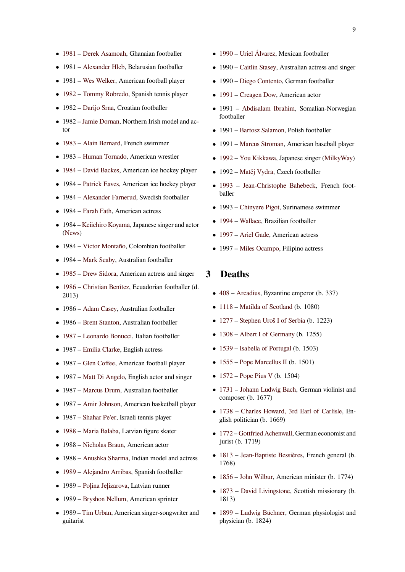- *•* 1981 Derek Asamoah, Ghanaian footballer
- *•* 1981 Alexander Hleb, Belarusian footballer
- *•* [1981](https://en.wikipedia.org/wiki/1981) [Wes Welker, Am](https://en.wikipedia.org/wiki/Derek_Asamoah)erican football player
- *•* 1982 [Tommy Robred](https://en.wikipedia.org/wiki/Alexander_Hleb)o, Spanish tennis player
- *•* 1982 [Darijo Srna,](https://en.wikipedia.org/wiki/Wes_Welker) Croatian footballer
- *•* 1982 [Jamie Dornan, No](https://en.wikipedia.org/wiki/Tommy_Robredo)rthern Irish model and ac[tor](https://en.wikipedia.org/wiki/1982)
- *•* 1983 [Alain Berna](https://en.wikipedia.org/wiki/Darijo_Srna)rd, French swimmer
- *•* 1983 [Human Torna](https://en.wikipedia.org/wiki/Jamie_Dornan)do, American wrestler
- [1984](https://en.wikipedia.org/wiki/1983) [David Backes,](https://en.wikipedia.org/wiki/Alain_Bernard) American ice hockey player
- 1984 [Patrick Eaves, A](https://en.wikipedia.org/wiki/Human_Tornado)merican ice hockey player
- *•* [1984](https://en.wikipedia.org/wiki/1984) [Alexander Far](https://en.wikipedia.org/wiki/David_Backes)nerud, Swedish footballer
- *•* 1984 [Farah Fath, A](https://en.wikipedia.org/wiki/Patrick_Eaves)merican actress
- *•* 1984 [Keiichiro Koyama, Ja](https://en.wikipedia.org/wiki/Alexander_Farnerud)panese singer and actor (News)
- *•* 1984 [Víctor Mon](https://en.wikipedia.org/wiki/Farah_Fath)taño, Colombian footballer
- *•* [1984 –](https://en.wikipedia.org/wiki/News_(band)) [Mark Seaby, Aust](https://en.wikipedia.org/wiki/Keiichiro_Koyama)ralian footballer
- 1985 [Drew Sidora, Am](https://en.wikipedia.org/wiki/V%C3%ADctor_Monta%C3%B1o)erican actress and singer
- *•* 1986 [Christian Be](https://en.wikipedia.org/wiki/Mark_Seaby)nítez, Ecuadorian footballer (d. 2013)
- *•* [1986](https://en.wikipedia.org/wiki/1985) [Adam Casey](https://en.wikipedia.org/wiki/Drew_Sidora), Australian footballer
- *•* [1986](https://en.wikipedia.org/wiki/1986) [Brent Stanton, Au](https://en.wikipedia.org/wiki/Christian_Ben%C3%ADtez)stralian footballer
- *•* 1987 [Leonardo Bo](https://en.wikipedia.org/wiki/Adam_Casey)nucci, Italian footballer
- *•* 1987 [Emilia Clarke](https://en.wikipedia.org/wiki/Brent_Stanton), English actress
- [1987](https://en.wikipedia.org/wiki/1987) [Glen Coffee, Amer](https://en.wikipedia.org/wiki/Leonardo_Bonucci)ican football player
- *•* 1987 [Matt Di Ange](https://en.wikipedia.org/wiki/Emilia_Clarke)lo, English actor and singer
- *•* 1987 [Marcus Drum](https://en.wikipedia.org/wiki/Glen_Coffee), Australian footballer
- *•* 1987 [Amir Johnson, A](https://en.wikipedia.org/wiki/Matt_Di_Angelo)merican basketball player
- *•* 1987 [Shahar Pe](https://en.wikipedia.org/wiki/Marcus_Drum)'[er, I](https://en.wikipedia.org/wiki/Marcus_Drum)sraeli tennis player
- *•* 1988 [Maria Balaba,](https://en.wikipedia.org/wiki/Amir_Johnson) Latvian figure skater
- *•* 1988 [Nicholas Bra](https://en.wikipedia.org/wiki/Shahar_Pe%2527er)un, American actor
- *•* [1988](https://en.wikipedia.org/wiki/1988) [Anushka Shar](https://en.wikipedia.org/wiki/Maria_Balaba)ma, Indian model and actress
- *•* 1989 [Alejandro Arrib](https://en.wikipedia.org/wiki/Nicholas_Braun)as, Spanish footballer
- *•* 1989 [Poļina Jeļizarova,](https://en.wikipedia.org/wiki/Anushka_Sharma) Latvian runner
- *•* [1989](https://en.wikipedia.org/wiki/1989) [Bryshon Nellum, A](https://en.wikipedia.org/wiki/Alejandro_Arribas)merican sprinter
- *•* 1989 [Tim Urban, Ame](https://en.wikipedia.org/wiki/Po%C4%BCina_Je%C4%BCizarova)rican singer-songwriter and guitarist
- *•* 1990 Uriel Álvarez, Mexican footballer
- *•* 1990 Caitlin Stasey, Australian actress and singer
- *•* [1990](https://en.wikipedia.org/wiki/1990) [Diego Conten](https://en.wikipedia.org/wiki/Uriel_%C3%81lvarez)to, German footballer
- *•* 1991 [Creagen Dow,](https://en.wikipedia.org/wiki/Caitlin_Stasey) American actor
- *•* 1991 Abdisalam Ibrahim, Somalian-Norwegian footbal[ler](https://en.wikipedia.org/wiki/Diego_Contento)
- *•* [1991](https://en.wikipedia.org/wiki/1991) [Bartosz Salam](https://en.wikipedia.org/wiki/Creagen_Dow)on, Polish footballer
- *•* 1991 [Marcus Stroman, Am](https://en.wikipedia.org/wiki/Abdisalam_Ibrahim)erican baseball player
- *•* 1992 [You Kikkawa, Ja](https://en.wikipedia.org/wiki/Bartosz_Salamon)panese singer (MilkyWay)
- *•* 1992 [Matěj Vydra, Cz](https://en.wikipedia.org/wiki/Marcus_Stroman)ech footballer
- 1993 [Jean-Christo](https://en.wikipedia.org/wiki/You_Kikkawa)phe Bahebeck, [French foot](https://en.wikipedia.org/wiki/MilkyWay)[baller](https://en.wikipedia.org/wiki/1992)
- *•* 1993 [Chinyere Pig](https://en.wikipedia.org/wiki/Mat%C4%9Bj_Vydra)ot, Surinamese swimmer
- *•* [1994](https://en.wikipedia.org/wiki/1993) [Wallace, Brazilian footballer](https://en.wikipedia.org/wiki/Jean-Christophe_Bahebeck)
- *•* 1997 [Ariel Gade, Am](https://en.wikipedia.org/wiki/Chinyere_Pigot)erican actress
- *•* [1997](https://en.wikipedia.org/wiki/1994) [Miles O](https://en.wikipedia.org/wiki/Wallace_Oliveira_dos_Santos)campo, Filipino actress

# **3 [Dea](https://en.wikipedia.org/wiki/1997)[ths](https://en.wikipedia.org/wiki/Ariel_Gade)**

- *•* 408 Arcadius, Byzantine emperor (b. 337)
- *•* 1118 Matilda of Scotland (b. 1080)
- *•* [127](https://en.wikipedia.org/wiki/408)7 [Stephen](https://en.wikipedia.org/wiki/Arcadius) Uroš I of Serbia (b. 1223)
- *•* [1308](https://en.wikipedia.org/wiki/1118) [Albert I of Germany](https://en.wikipedia.org/wiki/Matilda_of_Scotland) (b. 1255)
- *•* [1539](https://en.wikipedia.org/wiki/1277) [Isabella of Portugal](https://en.wikipedia.org/wiki/Stephen_Uro%C5%A1_I_of_Serbia) (b. 1503)
- *•* [1555](https://en.wikipedia.org/wiki/1308) [Pope Marcellus II](https://en.wikipedia.org/wiki/Albert_I_of_Germany) (b. 1501)
- *•* [1572](https://en.wikipedia.org/wiki/1539) [Pope Pius V](https://en.wikipedia.org/wiki/Isabella_of_Portugal) (b. 1504)
- *•* 1731 Johann Ludwig Bach, German violinist and [comp](https://en.wikipedia.org/wiki/1555)o[ser \(b. 1677\)](https://en.wikipedia.org/wiki/Pope_Marcellus_II)
- *•* [1738](https://en.wikipedia.org/wiki/1572) [Charles How](https://en.wikipedia.org/wiki/Pope_Pius_V)ard, 3rd Earl of Carlisle, En[glish](https://en.wikipedia.org/wiki/1731) p[olitician \(b. 1669\)](https://en.wikipedia.org/wiki/Johann_Ludwig_Bach)
- *•* 1772 Gottfried Achenwall, German economist and [jurist](https://en.wikipedia.org/wiki/1738) (b[. 1719\)](https://en.wikipedia.org/wiki/Charles_Howard,_3rd_Earl_of_Carlisle)
- *•* 1813 Jean-Baptiste Bessières, French general (b. [1768](https://en.wikipedia.org/wiki/1772))
- *•* 1856 John Wilbur, American minister (b. 1774)
- [1873](https://en.wikipedia.org/wiki/1813) [David Livingstone, Sco](https://en.wikipedia.org/wiki/Jean-Baptiste_Bessi%C3%A8res)ttish missionary (b. 1813)
- *•* [1899](https://en.wikipedia.org/wiki/1856) [Ludwig Büc](https://en.wikipedia.org/wiki/John_Wilbur_(Quaker_minister))hner, German physiologist and [physi](https://en.wikipedia.org/wiki/1873)ci[an \(b. 1824\)](https://en.wikipedia.org/wiki/David_Livingstone)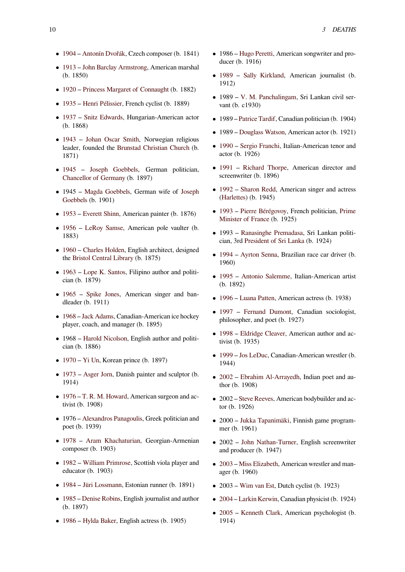- *•* 1904 Antonín Dvořák, Czech composer (b. 1841)
- *•* 1913 John Barclay Armstrong, American marshal (b. 1850)
- *•* [1920](https://en.wikipedia.org/wiki/1904) [Princess Margar](https://en.wikipedia.org/wiki/Anton%C3%ADn_Dvo%C5%99%C3%A1k)et of Connaught (b. 1882)
- *•* [1935](https://en.wikipedia.org/wiki/1913) [Henri Pélissier, French c](https://en.wikipedia.org/wiki/John_Barclay_Armstrong)yclist (b. 1889)
- *•* 1937 [Snitz Edwards, Hungarian-Ame](https://en.wikipedia.org/wiki/Princess_Margaret_of_Connaught)rican actor [\(b. 18](https://en.wikipedia.org/wiki/1920)68)
- [1943](https://en.wikipedia.org/wiki/1935) [Johan Oscar](https://en.wikipedia.org/wiki/Henri_P%C3%A9lissier) Smith, Norwegian religious [leade](https://en.wikipedia.org/wiki/1937)r, [founded the](https://en.wikipedia.org/wiki/Snitz_Edwards) Brunstad Christian Church (b. 1871)
- [1945](https://en.wikipedia.org/wiki/1943) [Joseph Goebbels,](https://en.wikipedia.org/wiki/Johan_Oscar_Smith) German politician, Chancellor of Germany [\(b. 1897\)](https://en.wikipedia.org/wiki/Brunstad_Christian_Church)
- *•* 1945 Magda Goebbels, German wife of Joseph [Goeb](https://en.wikipedia.org/wiki/1945)bels [\(b. 1901\)](https://en.wikipedia.org/wiki/Joseph_Goebbels)
- *•* 1953 [Everett Shinn, A](https://en.wikipedia.org/wiki/Chancellor_of_Germany)merican painter (b. 1876)
- *•* 1956 [LeRoy Samse, A](https://en.wikipedia.org/wiki/Magda_Goebbels)merican pole vau[lter \(b.](https://en.wikipedia.org/wiki/Joseph_Goebbels) [1883\)](https://en.wikipedia.org/wiki/Joseph_Goebbels)
- *•* [1960](https://en.wikipedia.org/wiki/1953) [Charles Holde](https://en.wikipedia.org/wiki/Everett_Shinn)n, English architect, designed [the](https://en.wikipedia.org/wiki/1956) Bris[tol Central Libr](https://en.wikipedia.org/wiki/LeRoy_Samse)ary (b. 1875)
- *•* 1963 Lope K. Santos, Filipino author and politi[cian \(](https://en.wikipedia.org/wiki/1960)b. [1879\)](https://en.wikipedia.org/wiki/Charles_Holden)
- *•* 1965 [Spike Jones, Am](https://en.wikipedia.org/wiki/Bristol_Central_Library)erican singer and ban[dlead](https://en.wikipedia.org/wiki/1963)er [\(b. 1911\)](https://en.wikipedia.org/wiki/Lope_K._Santos)
- *•* 1968 Jack Adams, Canadian-American ice hockey [playe](https://en.wikipedia.org/wiki/1965)r, c[oach, and ma](https://en.wikipedia.org/wiki/Spike_Jones)nager (b. 1895)
- 1968 Harold Nicolson, English author and politi[cian \(](https://en.wikipedia.org/wiki/1968)b[. 1886\)](https://en.wikipedia.org/wiki/Jack_Adams)
- *•* 1970 Yi Un, Korean prince (b. 1897)
- *•* 1973 [Asger Jorn, Dani](https://en.wikipedia.org/wiki/Harold_Nicolson)sh painter and sculptor (b. 1914)
- *•* [1976](https://en.wikipedia.org/wiki/1970) [T. R. M](https://en.wikipedia.org/wiki/Yi_Un). Howard, American surgeon and ac[tivist](https://en.wikipedia.org/wiki/1973) (b[. 1908\)](https://en.wikipedia.org/wiki/Asger_Jorn)
- *•* 1976 Alexandros Panagoulis, Greek politician and [poet \(](https://en.wikipedia.org/wiki/1976)b[. 1939\)](https://en.wikipedia.org/wiki/T._R._M._Howard)
- *•* 1978 Aram Khachaturian, Georgian-Armenian compo[ser \(b. 1903\)](https://en.wikipedia.org/wiki/Alexandros_Panagoulis)
- *•* 1982 William Primrose, Scottish viola player and [educa](https://en.wikipedia.org/wiki/1978)tor [\(b. 1903\)](https://en.wikipedia.org/wiki/Aram_Khachaturian)
- *•* 1984 Jüri Lossmann, Estonian runner (b. 1891)
- *•* [1985](https://en.wikipedia.org/wiki/1982) [Denise Robins, En](https://en.wikipedia.org/wiki/William_Primrose)glish journalist and author (b. 1897)
- *•* [1986](https://en.wikipedia.org/wiki/1984) [Hylda Baker, E](https://en.wikipedia.org/wiki/J%C3%BCri_Lossmann)nglish actress (b. 1905)
- *•* 1986 Hugo Peretti, American songwriter and producer (b. 1916)
- *•* 1989 Sally Kirkland, American journalist (b. 1912)
- *•* 1989 V. M. Panchalingam, Sri Lankan civil ser[vant \(](https://en.wikipedia.org/wiki/1989)b. [c1930\)](https://en.wikipedia.org/wiki/Sally_Kirkland_(editor))
- *•* 1989 Patrice Tardif, Canadian politician (b. 1904)
- *•* 1989 [Douglass Watson, Am](https://en.wikipedia.org/wiki/V._M._Panchalingam)erican actor (b. 1921)
- *•* 1990 Sergio Franchi, Italian-American tenor and actor ([b. 1926\)](https://en.wikipedia.org/wiki/Patrice_Tardif_(politician))
- *•* 1991 [Richard Thorpe](https://en.wikipedia.org/wiki/Douglass_Watson), American director and [scree](https://en.wikipedia.org/wiki/1990)n[writer \(b. 1896\)](https://en.wikipedia.org/wiki/Sergio_Franchi)
- 1992 Sharon Redd, American singer and actress [\(Harl](https://en.wikipedia.org/wiki/1991)ett[es\) \(b. 1945\)](https://en.wikipedia.org/wiki/Richard_Thorpe)
- *•* 1993 Pierre Bérégovoy, French politician, Prime [Minis](https://en.wikipedia.org/wiki/1992)te[r of France](https://en.wikipedia.org/wiki/Sharon_Redd) (b. 1925)
- *•* [1993 –](https://en.wikipedia.org/wiki/Harlettes) Ranasinghe Premadasa, Sri Lankan politi[cian,](https://en.wikipedia.org/wiki/1993) 3rd [President of Sri](https://en.wikipedia.org/wiki/Pierre_B%C3%A9r%C3%A9govoy) Lanka (b. 1924)
- *•* 1994 [Ayrton Sen](https://en.wikipedia.org/wiki/Prime_Minister_of_France)na, Brazilian race car driver (b. 1960)
- *•* 1995 [Antonio Salemme, Itali](https://en.wikipedia.org/wiki/President_of_Sri_Lanka)an-American artist [\(b. 18](https://en.wikipedia.org/wiki/1994)9[2\)](https://en.wikipedia.org/wiki/Ayrton_Senna)
- *•* 1996 Luana Patten, American actress (b. 1938)
- [1997](https://en.wikipedia.org/wiki/1995) [Fernand Dumont](https://en.wikipedia.org/wiki/Antonio_Salemme), Canadian sociologist, philosopher, and poet (b. 1927)
- *•* [1998](https://en.wikipedia.org/wiki/1996) [Eldridge Clea](https://en.wikipedia.org/wiki/Luana_Patten)ver, American author and ac[tivist](https://en.wikipedia.org/wiki/1997) (b. [1935\)](https://en.wikipedia.org/wiki/Fernand_Dumont)
- *•* 1999 Jos LeDuc, Canadian-American wrestler (b. [1944](https://en.wikipedia.org/wiki/1998))
- *•* 2002 Ebrahim Al-Arrayedh, Indian poet and au[thor \(](https://en.wikipedia.org/wiki/1999)b. [1908\)](https://en.wikipedia.org/wiki/Jos_LeDuc)
- 2002 Steve Reeves, American bodybuilder and ac[tor \(b](https://en.wikipedia.org/wiki/2002). [1926\)](https://en.wikipedia.org/wiki/Ebrahim_Al-Arrayedh)
- *•* 2000 Jukka Tapanimäki, Finnish game programmer (b[. 1961\)](https://en.wikipedia.org/wiki/Steve_Reeves)
- *•* 2002 John Nathan-Turner, English screenwriter and pro[ducer \(b. 1947\)](https://en.wikipedia.org/wiki/Jukka_Tapanim%C3%A4ki)
- *•* 2003 Miss Elizabeth, American wrestler and manager (b. [1960\)](https://en.wikipedia.org/wiki/John_Nathan-Turner)
- *•* 2003 Wim van Est, Dutch cyclist (b. 1923)
- *•* [2004](https://en.wikipedia.org/wiki/2003) [Larkin Kerwin,](https://en.wikipedia.org/wiki/Miss_Elizabeth) Canadian physicist (b. 1924)
- *•* 2005 [Kenneth Cla](https://en.wikipedia.org/wiki/Wim_van_Est)rk, American psychologist (b. 1914)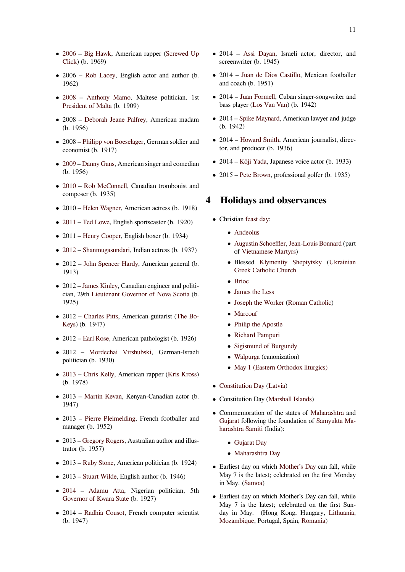- 2006 Big Hawk, American rapper (Screwed Up Click) (b. 1969)
- *•* 2006 Rob Lacey, English actor and author (b. [1962\)](https://en.wikipedia.org/wiki/2006)
- *•* [2008](https://en.wikipedia.org/wiki/Screwed_Up_Click) Anthony Mamo, Maltese politician, 1st Preside[nt of Malta](https://en.wikipedia.org/wiki/Rob_Lacey) (b. 1909)
- *•* 2008 Deborah Jeane Palfrey, American madam [\(b. 19](https://en.wikipedia.org/wiki/2008)56[\)](https://en.wikipedia.org/wiki/Anthony_Mamo)
- *•* 2008 [Philipp von](https://en.wikipedia.org/wiki/President_of_Malta) Boeselager, German soldier and econom[ist \(b. 1917\)](https://en.wikipedia.org/wiki/Deborah_Jeane_Palfrey)
- *•* 2009 Danny Gans, American singer and comedian (b. 195[6\)](https://en.wikipedia.org/wiki/Philipp_von_Boeselager)
- 2010 Rob McConnell, Canadian trombonist and [comp](https://en.wikipedia.org/wiki/2009)o[ser \(b. 1935\)](https://en.wikipedia.org/wiki/Danny_Gans)
- *•* 2010 Helen Wagner, American actress (b. 1918)
- [2011](https://en.wikipedia.org/wiki/2010) [Ted Lowe, Englis](https://en.wikipedia.org/wiki/Rob_McConnell)h sportscaster (b. 1920)
- *•* 2011 [Henry Cooper,](https://en.wikipedia.org/wiki/Helen_Wagner) English boxer (b. 1934)
- *•* [2012](https://en.wikipedia.org/wiki/2011) [Shanmuga](https://en.wikipedia.org/wiki/Ted_Lowe)sundari, Indian actress (b. 1937)
- *•* 2012 [John Spencer](https://en.wikipedia.org/wiki/Henry_Cooper) Hardy, American general (b. 1913)
- *•* [2012](https://en.wikipedia.org/wiki/2012) [James Kinley, Can](https://en.wikipedia.org/wiki/Shanmugasundari)adian engineer and politician, 29th [Lieutenant Gover](https://en.wikipedia.org/wiki/John_Spencer_Hardy)nor of Nova Scotia (b. 1925)
- *•* 2012 [Charles Pitts](https://en.wikipedia.org/wiki/James_Kinley), American guitarist (The Bo-Keys) (b. [1947\)](https://en.wikipedia.org/wiki/Lieutenant_Governor_of_Nova_Scotia)
- *•* 2012 Earl Rose, American pathologist (b. 1926)
- *•* 2012 [Mordechai](https://en.wikipedia.org/wiki/Charles_Pitts) Virshubski, Germ[an-Israeli](https://en.wikipedia.org/wiki/The_Bo-Keys) [politi](https://en.wikipedia.org/wiki/The_Bo-Keys)cian (b. 1930)
- *•* 2013 [Chris Kel](https://en.wikipedia.org/wiki/Earl_Rose_(coroner))ly, American rapper (Kris Kross) (b. 1978)
- *•* 2013 Martin Kevan, Kenyan-Canadian actor (b. [1947\)](https://en.wikipedia.org/wiki/2013)
- *•* 2013 Pierre Pleimelding, French footballer and manage[r \(b. 1952\)](https://en.wikipedia.org/wiki/Martin_Kevan)
- *•* 2013 Gregory Rogers, Australian author and illustrator (b[. 1957\)](https://en.wikipedia.org/wiki/Pierre_Pleimelding)
- *•* 2013 Ruby Stone, American politician (b. 1924)
- *•* 2013 [Stuart Wilde, En](https://en.wikipedia.org/wiki/Gregory_Rogers)glish author (b. 1946)
- 2014 Adamu Atta, Nigerian politician, 5th Govern[or of Kwara](https://en.wikipedia.org/wiki/Ruby_Stone) State (b. 1927)
- *•* 2014 [Radhia Cous](https://en.wikipedia.org/wiki/Stuart_Wilde)ot, French computer scientist [\(b. 19](https://en.wikipedia.org/wiki/2014)47)
- *•* 2014 Assi Dayan, Israeli actor, director, and screenwriter (b. 1945)
- *•* 2014 Juan de Dios Castillo, Mexican footballer and coac[h \(b. 1951\)](https://en.wikipedia.org/wiki/Assi_Dayan)
- *•* 2014 Juan Formell, Cuban singer-songwriter and bass pla[yer \(Los Van Van\) \(b.](https://en.wikipedia.org/wiki/Juan_de_Dios_Castillo) 1942)
- *•* 2014 Spike Maynard, American lawyer and judge (b. 194[2\)](https://en.wikipedia.org/wiki/Juan_Formell)
- 2014 Ho[ward Smith, A](https://en.wikipedia.org/wiki/Los_Van_Van)merican journalist, director, an[d producer \(b. 1](https://en.wikipedia.org/wiki/Spike_Maynard)936)
- *•* 2014 Kōji Yada, Japanese voice actor (b. 1933)
- *•* 2015 [Pete Brown, pr](https://en.wikipedia.org/wiki/Howard_Smith_(director))ofessional golfer (b. 1935)

# **4 Holi[days an](https://en.wikipedia.org/wiki/K%C5%8Dji_Yada)[d](https://en.wikipedia.org/wiki/Pete_Brown_(golfer)) observances**

- *•* Christian feast day:
	- *•* Andeolus
	- *•* Augustin Schoeffler, Jean-Louis Bonnard (part of [Vietnames](https://en.wikipedia.org/wiki/Feast_day)e Martyrs)
	- *•* Blessed Klymentiy Sheptytsky (Ukrainian [Greek Ca](https://en.wikipedia.org/wiki/Andeolus)tholic Chu[rch](https://en.wikipedia.org/wiki/Jean-Louis_Bonnard)
	- *•* [Brioc](https://en.wikipedia.org/wiki/Augustin_Schoeffler)
	- *•* James th[e Less](https://en.wikipedia.org/wiki/Klymentiy_Sheptytsky)
	- *•* [Joseph the Worker](https://en.wikipedia.org/wiki/Ukrainian_Greek_Catholic_Church) (Roman Catholic)
	- *•* [Marco](https://en.wikipedia.org/wiki/Saint_Brioc)uf
	- *•* [Philip the Apos](https://en.wikipedia.org/wiki/James,_son_of_Alphaeus)tle
	- *•* [Richard Pampuri](https://en.wikipedia.org/wiki/Saint_Joseph_the_Worker)
	- *•* [Sigismun](https://en.wikipedia.org/wiki/Saint_Marcouf)d of Burgundy
	- *•* [Walpurga](https://en.wikipedia.org/wiki/Philip_the_Apostle) (canonization)
	- [May 1 \(Eastern O](https://en.wikipedia.org/wiki/Richard_Pampuri)rthodox liturgics)
- *•* Cons[titution D](https://en.wikipedia.org/wiki/Saint_Walpurga)[ay](https://en.wikipedia.org/wiki/Sigismund_of_Burgundy) (Latvia)
- *•* Cons[titution Day \(Marshall Islands\)](https://en.wikipedia.org/wiki/May_1_(Eastern_Orthodox_liturgics))
- *•* Commemoration of the states of Maharashtra and Gujarat [following](https://en.wikipedia.org/wiki/Constitution_Day) [the fou](https://en.wikipedia.org/wiki/Latvia)ndation of Samyukta Maharashtra Samiti ([India\):](https://en.wikipedia.org/wiki/Marshall_Islands)
	- *•* Gujarat Day
	- *•* [M](https://en.wikipedia.org/wiki/Gujarat)aharashtra Day
- *•* [Earliest day on w](https://en.wikipedia.org/wiki/Samyukta_Maharashtra_Samiti)hich Mother's Day can fall, while May [7 is the lates](https://en.wikipedia.org/wiki/Public_holidays_in_India#Secular_holidays)t; celebrated on the first Monday in M[ay. \(Samoa\)](https://en.wikipedia.org/wiki/Maharashtra_Day)
- *•* Earliest day on which [Mother's Day](https://en.wikipedia.org/wiki/Mother%2527s_Day) can fall, while May 7 is the latest; celebrated on the first Sunday in [May. \(](https://en.wikipedia.org/wiki/Samoa)Hong Kong, Hungary, Lithuania, Mozambique, Portugal, Spain, Romania)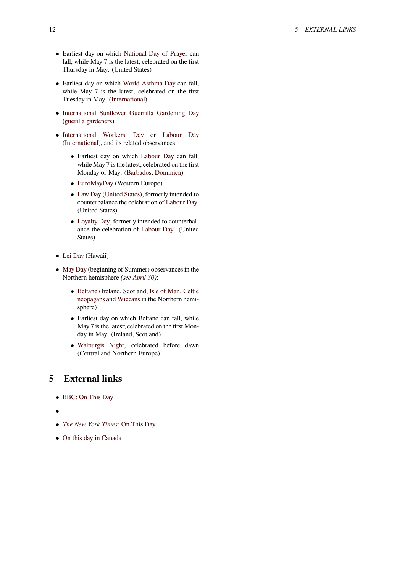- *•* Earliest day on which National Day of Prayer can fall, while May 7 is the latest; celebrated on the first Thursday in May. (United States)
- *•* Earliest day on which World Asthma Day can fall, while May 7 is the l[atest; celebrated on the](https://en.wikipedia.org/wiki/National_Day_of_Prayer) first Tuesday in May. (International)
- *•* International Sunflow[er Guerrilla Garden](https://en.wikipedia.org/wiki/World_Asthma_Day)ing Day (guerilla gardeners)
- *•* International W[orkers' Day](https://en.wikipedia.org/wiki/International_observance) or Labour Day [\(International\), and its related observances:](https://en.wikipedia.org/wiki/International_Sunflower_Guerrilla_Gardening_Day)
	- *•* [Earliest day](https://en.wikipedia.org/wiki/Guerrilla_gardening) on which Labour Day can fall, while May 7 is the latest; celebra[ted on the first](https://en.wikipedia.org/wiki/Labour_Day) [Monday of May. \(Barbad](https://en.wikipedia.org/wiki/International_Workers%2527_Day)os, Dominica)
	- *•* EuroMayDay (Western Europe)
	- *•* Law Day (United States[\), formerly in](https://en.wikipedia.org/wiki/Labour_Day)tended to counterbalance th[e celebratio](https://en.wikipedia.org/wiki/Barbados)n of [Labou](https://en.wikipedia.org/wiki/Dominica)r Day. (United States)
	- *•* [Loyalty Day, f](https://en.wikipedia.org/wiki/EuroMayDay)ormerly intended to counterbal[ance the celebration of](https://en.wikipedia.org/wiki/Law_Day_(United_States)) Labour [Day. \(United](https://en.wikipedia.org/wiki/Labour_Day) States)
- *•* Lei Day [\(Hawaii\)](https://en.wikipedia.org/wiki/Loyalty_Day)
- *•* May Day (beginning of Sum[mer\) observan](https://en.wikipedia.org/wiki/Labour_Day)ces in the Northern hemisphere *(see April 30)*:
	- *•* [Be](https://en.wikipedia.org/wiki/Lei_(garland))ltane (Ireland, Scotland, Isle of Man, Celtic [neo](https://en.wikipedia.org/wiki/May_Day)pagans and Wiccans in the Northern hemisphere)
	- *•* Earliest day on whi[ch Beltan](https://en.wikipedia.org/wiki/April_30)e can fall, while [May 7 is](https://en.wikipedia.org/wiki/Beltane) the latest; celebrat[ed on the firs](https://en.wikipedia.org/wiki/Isle_of_Man)[t Mon](https://en.wikipedia.org/wiki/Celtic_neopaganism)[day in May](https://en.wikipedia.org/wiki/Celtic_neopaganism). (I[reland, Sc](https://en.wikipedia.org/wiki/Wicca)otland)
	- *•* Walpurgis Night, celebrated before dawn (Central and Northern Europe)

# **5 Ex[ternal links](https://en.wikipedia.org/wiki/Walpurgis_Night)**

- *•* BBC: On This Day
- *•*
- *• [The New York Time](http://news.bbc.co.uk/onthisday/hi/dates/stories/may/1)s*: On This Day
- *•* On this day in Canada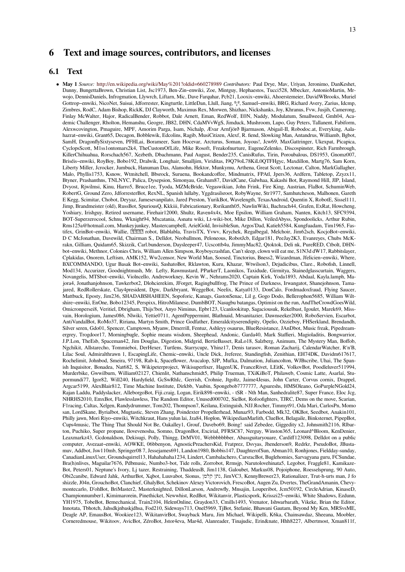# **6 Text and image sources, contributors, and licenses**

#### **6.1 Text**

*•* **May 1** *Source:* http://en.wikipedia.org/wiki/May%201?oldid=660278989 *Contributors:* Paul Drye, Mav, Uriyan, Jeronimo, DanKeshet, Danny, BungettaBrown, Christian List, Jsc1973, Ben-Zin~enwiki, Zoe, Mintguy, Hephaestos, Tucci528, Mbecker, AntonioMartin, Mrwojo, DennisDaniels, Infrogmation, Llywrch, Liftarn, Mic, Dave Farquhar, Pcb21, Looxix~enwiki, Ahoerstemeier, DavidWBrooks, Muriel Gottrop~enwiki, NicoNet, Suisui, Jdforrester, Kingturtle, LittleDan, Llull, Jiang, º¡º, Samuel~enwiki, BRG, Richard Avery, Zarius, Idcmp, Zimbres, RodC, Adam Bishop, RickK, DJ Clayworth, Maximus Rex, Morwen, Shizhao, Nickshanks, Joy, Khranus, Fvw, Jusjih, Camerong, Finlay McWalt[er, Hajor, RadicalBender, Robbot, Dale Arnett, Eman, Re](http://en.wikipedia.org/wiki/May%25201?oldid=660278989)dWolf, E0N, Naddy, Modulatum, Smallweed, Gmh04, Academic Challenger, Rholton, Hemanshu, Geogre, JB82, DHN, CdaMVvWgS, Jimduck, Mushroom, Lupo, Guy Peters, Tallanent, Fabiform, Alexwcovington, Pmaguire, MPF, Amorim Parga, Isam, Nichalp, Ævar Arnfjörð Bjarmason, Abigail-II, Robodoc.at, Everyking, Aalahazrat~enwiki, Grant65, Decagon, Bobblewik, Edcolins, Ragib, MusiCitizen, Alexf, R. fiend, Slowking Man, Antandrus, Williamb, Bgbot, SamH, DragonflySixtyseven, PFHLai, Borameer, Sam Hocevar, Arcturus, Soman, Joyous!, Jcw69, MaxGattringer, Ukexpat, Picapica, CyclopsScott, M1ss1ontomars2k4, TheCustomOfLife, Mike Rosoft, Freakofnurture, EugeneZelenko, Discospinster, Rich Farmbrough, KillerChihuahua, Rorschach567, Xezbeth, Dbachmann, Paul August, Bender235, CanisRufus, Tirin, Poroubalous, DS1953, Gnomz007, Briséis~enwiki, RoyBoy, Bobo192, Dralwik, Longhair, Smalljim, Viriditas, I9Q79oL78KiL0QTFHgyc, Maxdillon, Martg76, Sam Korn, Liberty Miller, Jcrocker, Jumbuck, Hanuman Das, Alansohn, Hektor, Munkymu, Arthena, Great Scott, Lectonar, Calton, MarkGallagher, Malo, Phyllis1753, Ksnow, Wtmitchell, Bbsrock, Suruena, Bookandcoffee, Mindmatrix, FPAtl, Jpers36, Ardfern, Tabletop, Zzyzx11, Btyner, Prashanthns, TNLNYC, Palica, Dysepsion, Simonyau, Graham87, DavidCane, Galwhaa, Kakashi Bot, Raymond Hill, JIP, Island, Dvyost, Rjwilmsi, Kinu, Harro5, Bruce1ee, Tyoda, MZMcBride, Vegaswikian, John Frink, Fire King, Austrian, FlaBot, SchuminWeb, RobertG, Ground Zero, JdforresterBot, RexNL, Spanish lullaby, Yggdrasilsroot, RobyWayne, Str1977, Samhutcheson, Malhonen, Gareth E Kegg, Scimitar, Chobot, Deyyaz, Jamesevanpilato, Jared Preston, YurikBot, Wavelength, TexasAndroid, Quentin X, RobotE, Sissel111, Jimp, Brandmeister (old), RussBot, SpuriousQ, Kkkiii, Fabricationary, Rsrikanth05, NawlinWiki, Bachrach44, Grafen, ExRat, Howcheng, Yoshiary, Irishguy, Retired username, Firehair12000, Shultz, Raven4x4x, Moe Epsilon, William Graham, Nanten, Kitch13, SFC9394, BOT-Superzerocool, Schnu, Wknight94, Mxcatania, Asnatu wiki, Lt-wiki-bot, Mike Dillon, VeiledAbyss, Spondoolicks, Arthur Rubin, Rms125a@hotmail.com, Munkeyjunkey, Mastercampbell, ArielGold, InvisibleSun, Argos'Dad, Katieh5584, Kungfuadam, Tim1965, Fastifex, GrinBot~enwiki, Wallie, <sup>[</sup>][<sup>2</sup>][<sup>2</sup>][<sup>2</sup>][2] robot, Blablabla, TravisTX, Yvwv, Krychek, Regalbegal, Melchoir, Jim62sch, KocjoBot~enwiki, D C McJonathan, Davewild, Chairman S., Delldot, Neoballmon, Peloneous, RobotJcb, Edgar181, PeeJay2K3, Evanreyes, Chubs McKrakn, Gilliam, Quidam65, Skizzik, Carl.bunderson, Daysleeper47, Ucscottb4u, JimmyMac82, Qtoktok, Deli nk, PureRED, Ctbolt, DHNbot~enwiki, Methnor, Colonies Chris, William Allen Simpson, Royboycrashfan, Can't sleep, clown will eat me, S1N3d dW17, Rabbitslayer, Cplakidas, Onorem, Leftism, AMK152, Ww2censor, New World Man, Soosed, Tinctorius, Bness2, Wizardman, Jfelicien~enwiki, Where, BXCOMMANDO, Ugur Basak Bot~enwiki, SashatoBot, Rklawton, Kuru, Khazar, Wtwilson3, Dejudicibus, Clare., Robofish, Linnell, Mod134, Accurizer, Goodnightmush, Mr. Lefty, Rawmustard, PParkerT, Laonikos, Taxidude, Girmitya, Stainedglasscurtain, Waggers, Novangelis, MTSbot~enwiki, Violncello, Andreworkney, Kevin W., Nehrams2020, Captain Kirk, Yoda1893, Abdaal, Kayla.lamph, Majora4, Jonathanjohnson, Tawkerbot2, Dlohcierekim, JForget, Ragingbullfrog, The Prince of Darkness, Irwangatot, Shanejohnson, Tamajared, RedRollerskate, Clay4president, Dgw, Darkbryant, WeggeBot, Neelix, Katya0133, DonCalo, Fordmadoxfraud, Flying Saucer, Mattbuck, Eposty, Jim236, SHADABSHAHEEN, Sopoforic, Kanags, GastonSenac, Lil g, Gogo Dodo, Bellerophon5685, William Wiltshire~enwiki, EnOne, Bobo12345, Perspixx, HitroMilanese, DumbBOT, Nasugbu batangas, Optimist on the run, AndTheCrowdGoesWild, Omicronpersei8, Veritiel, Dbrigham, Thijs!bot, Anyo Niminus, Epbr123, Ucanlookitup, Sagaciousuk, Rekelbast, Igoulet, Marek69, Missvain, Horologium, James086, Nlwiki, Yettie0711, AgentPeppermint, Blathnaid, Mrsanitazier, Dawnseeker2000, RoboServien, Escarbot, AntiVandalBot, RoMo37, Ririana, Martyn Smith, Prince Godfather, Emeraldcityserendipity, Opelio, Ozzieboy, FHSerkland, Brendandh, Silver seren, Gdo01, Spencer, Camptown, Myanw, Dmerrill, Fentuz, Ashleyy osaurus, BlueResistance, JAnDbot, Music freak, Pipedreamergrey, Trogdoor17, Morningbugle, Sophie means wisdom, Sheephead, Andonic, Garda40, Mark Staffieri, Magioladitis, Bongwarrior, J.P.Lon, TheEsb, Spaceman42, Jim Douglas, Digestion, Midgrid, BertieBasset, RaLo18, Salzberg, Animum, The Mystery Man, Boffob, Ngchikit, Allstarecho, Tommieboi, DerHexer, Turtlens, Starrycupz, Yhinz17, Denis tarasov, Roman Zacharij, CalendarWatcher, R'n'B, Lilac Soul, Admiralthrawn 1, EscapingLife, Chemic~enwiki, Uncle Dick, Jreferee, Standingfish, Zenithian, EH74DK, Davidm617617, Rochelimit, Johnbod, Smeira, 97198, Rab-k, Spaceflower, Avacalop, SJP, Mufka, Dalmation, Juliancolton, WJBscribe, Uhai, The Spanish Inquisitor, Bonadea, Nat682, S, Wikipeterproject, Wikisuperfixer, HagenUK, FranceRivet, LEitK, VolkovBot, Poodleluver511994, Murderbike, Gwwilburn, William02127, Chienlit, Nathanschmidt5, Philip Trueman, TXiKiBoT, Philaweb, Cosmic Latte, Asarlaí, Stupormundi77, Igor82, Will240, Hardyfield, GcSwRhIc, Gerrish, Crohnie, Jtgoltz, Jaime4Jesus, John Carter, Corvus cornix, Drappel, Argcar5199, AlexBlair812, Time Machine Institute, Dirkbb, Vaubin, Spongebob7777777, Agsureshs, HMSOleano, GoPurpleNGold24, Rajan Laddu, Paddyslacker, AlleborgoBot, Fiji.craig, Logan, Eirik898~enwiki, - tSR - Nth Man, Sanhedralite87, Super France, Eloc Jcg, NHRHS2010, EmxBot, Flawlesslawless, The Random Editor, Unused000702, SieBot, Rofoofighters, TJRC, Dems on the move, Scarian, F1racing, Caltas, Xelgen, Randydrummer, Tom202, Thompson7, Keilana, Extinguish, NJJ.Rocher, Timmyt91, Oda Mari, CarlosPn, Momo san, LordSkane, Byrialbot, Mugtastic, Steven Zhang, Poindexter Propellerhead, Munaz93, Farbodd, Mk32, OKBot, Seedbot, Anakin101, Philly jawn, Mori Riyo~enwiki, Witchkraut, Hans yulun lai, Jza84, Hoplon, WikipedianMarlith, ClueBot, Belagaile, Binksternet, PipepBot, Cups4music, The Thing That Should Not Be, Oakalley1, Grouf, Davebo69, Boing! said Zebedee, Giggedity x2, Johnsmith2116, Rlbarton, Puchiko, Super propane, Ilovevenosha, Somno, DragonBot, Excirial, PFRSC87, Nerguy, Winston365, Leonard^Bloom, KenDenier, Leaxmarkz43, Gcdonaldson, Dekisugi, Polly, Thingg, DrMV01, Webbbbbbber, Abassguitaryouare, Cardiff123098, Delldot on a public computer, Avezaat~enwiki, AOWKE, 06bbenyon, AgnosticPreachersKid, Fratprez, Dsvyas, Jhenderson9, Redrkr, PseudoBot, JBustamuv, Addbot, Jsw110mb, Springer08 7, Jessejames691, Landon1980, Bobbis147, DaughterofSun, Abman10, Ronhjones, Fieldday-sunday, CanadianLinuxUser, Groundsquirrel13, Hahahahaha1234, Lindert, Cambalachero, CarsracBot, Buglehomies, Sarvagyana guru, FCSundae, Bra(h)nlives, Maguilar7676, Pdbmusic, Numbo3-bot, Tide rolls, Zorrobot, Rrmsjp, Narutolovehinata5, Legobot, Fraggle81, Kamikaze-Bot, Peters01, Neptune's Ivory, Lj tazer, Restraining, ThaddeusB, Jim1138, Galoubet, Markus08, Pojoiphone, Roesselsprung, 90 Auto, Obi2canibe, Edward Jahk, ArthurBot, Xqbot, Luuvabot, Sionus, קלמן נתן, JimVC3, KennyBrewer23, Rationalizer, Trut-h-urts man, J fo shizzle, J04n, GrouchoBot, Clanchief, GhalyBot, Schekinov Alexey Victorovich, FrescoBot, Augen Zu, Dvertes, TheGrandAmanin, Chevymontecarlo, D'ohBot, BriMaster2, Masterknighted, DillonLarson, Andrewfly, Mnsajin, Louperibot, Jcm50192, CircleAdrian, KinaseD, Championnumber1, Kimimarorein, Pinethicket, Newwhist, RedBot, Wikitanvir, Plasticspork, Krisszi25~enwiki, White Shadows, Ezdunn, YH1975, TobeBot, Bemechanical, Train2104, HelenOnline, Graydon33, Cmills1493, Vrenator, Ishwarbarath, Vikeke, Brian the Editor, Innotata, Tbhotch, Jahsdkjnbaskjdhsa, Fod210, Sideways713, Onel5969, TjBot, \$tefanie, Bhawani Gautam, Beyond My Ken, MRSvsME, Deagle AP, EmausBot, Wookiee123, WikitanvirBot, Swayback Maru, Jim Michael, Wikipelli, K6ka, Chainsawdaz, Sheeana, Moobler, Corneredmouse, Wikitoov, AvicBot, ZéroBot, Jstor4eva, Mar4d, Alanreader, Tinajudic, Erin&nate, Hhh8227, Albertmost, Xman811f,